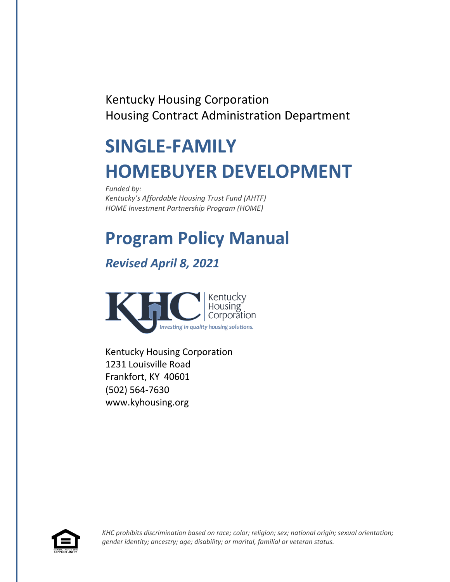Kentucky Housing Corporation Housing Contract Administration Department

# **SINGLE-FAMILY HOMEBUYER DEVELOPMENT**

*Funded by: Kentucky's Affordable Housing Trust Fund (AHTF) HOME Investment Partnership Program (HOME)*

# **Program Policy Manual**

# *Revised April 8, 2021*



Kentucky Housing Corporation 1231 Louisville Road Frankfort, KY 40601 (502) 564-7630 [www.kyhousing.org](http://www.kyhousing.org/)



*KHC prohibits discrimination based on race; color; religion; sex; national origin; sexual orientation; gender identity; ancestry; age; disability; or marital, familial or veteran status.*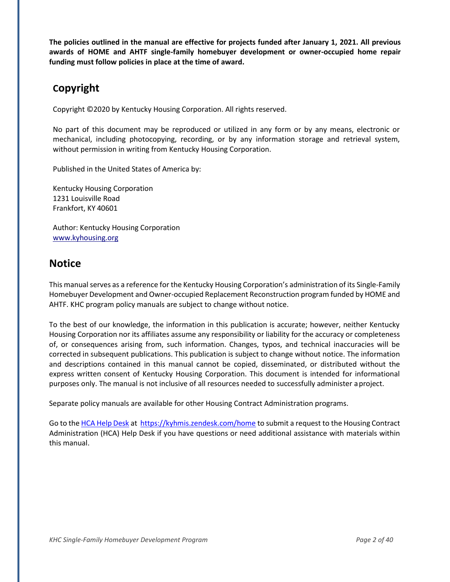**The policies outlined in the manual are effective for projects funded after January 1, 2021. All previous awards of HOME and AHTF single-family homebuyer development or owner-occupied home repair funding must follow policies in place at the time of award.**

# **Copyright**

Copyright ©2020 by Kentucky Housing Corporation. All rights reserved.

No part of this document may be reproduced or utilized in any form or by any means, electronic or mechanical, including photocopying, recording, or by any information storage and retrieval system, without permission in writing from Kentucky Housing Corporation.

Published in the United States of America by:

Kentucky Housing Corporation 1231 Louisville Road Frankfort, KY 40601

Author: Kentucky Housing Corporation [www.kyhousing.org](http://www.kyhousing.org/)

# **Notice**

This manual serves as a reference for the Kentucky Housing Corporation's administration of its Single-Family Homebuyer Development and Owner-occupied Replacement Reconstruction program funded by HOME and AHTF. KHC program policy manuals are subject to change without notice.

To the best of our knowledge, the information in this publication is accurate; however, neither Kentucky Housing Corporation nor its affiliates assume any responsibility or liability for the accuracy or completeness of, or consequences arising from, such information. Changes, typos, and technical inaccuracies will be corrected in subsequent publications. This publication is subject to change without notice. The information and descriptions contained in this manual cannot be copied, disseminated, or distributed without the express written consent of Kentucky Housing Corporation. This document is intended for informational purposes only. The manual is not inclusive of all resources needed to successfully administer aproject.

Separate policy manuals are available for other Housing Contract Administration programs.

Go to the HCA Help Desk at https://kyhmis.zendesk.com/home to submit a request to the Housing Contract Administration (HCA) Help Desk if you have questions or need additional assistance with materials within this manual.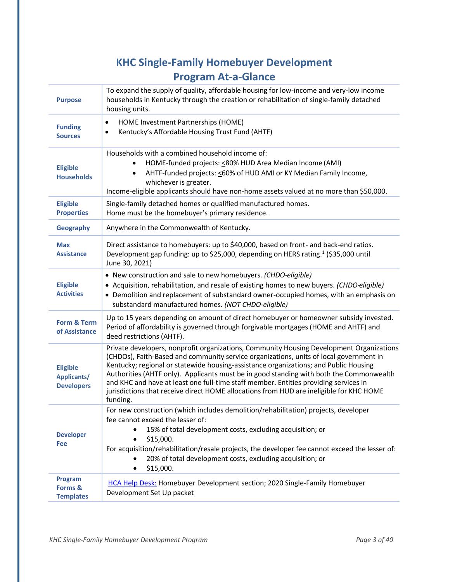# **KHC Single-Family Homebuyer Development Program At-a-Glance**

| <b>Purpose</b>                                      | To expand the supply of quality, affordable housing for low-income and very-low income<br>households in Kentucky through the creation or rehabilitation of single-family detached<br>housing units.                                                                                                                                                                                                                                                                                                                                                                  |  |
|-----------------------------------------------------|----------------------------------------------------------------------------------------------------------------------------------------------------------------------------------------------------------------------------------------------------------------------------------------------------------------------------------------------------------------------------------------------------------------------------------------------------------------------------------------------------------------------------------------------------------------------|--|
| <b>Funding</b><br><b>Sources</b>                    | HOME Investment Partnerships (HOME)<br>$\bullet$<br>Kentucky's Affordable Housing Trust Fund (AHTF)<br>٠                                                                                                                                                                                                                                                                                                                                                                                                                                                             |  |
| <b>Eligible</b><br><b>Households</b>                | Households with a combined household income of:<br>HOME-funded projects: < 80% HUD Area Median Income (AMI)<br>AHTF-funded projects: < 60% of HUD AMI or KY Median Family Income,<br>٠<br>whichever is greater.<br>Income-eligible applicants should have non-home assets valued at no more than \$50,000.                                                                                                                                                                                                                                                           |  |
| <b>Eligible</b><br><b>Properties</b>                | Single-family detached homes or qualified manufactured homes.<br>Home must be the homebuyer's primary residence.                                                                                                                                                                                                                                                                                                                                                                                                                                                     |  |
| <b>Geography</b>                                    | Anywhere in the Commonwealth of Kentucky.                                                                                                                                                                                                                                                                                                                                                                                                                                                                                                                            |  |
| <b>Max</b><br><b>Assistance</b>                     | Direct assistance to homebuyers: up to \$40,000, based on front- and back-end ratios.<br>Development gap funding: up to \$25,000, depending on HERS rating. <sup>1</sup> (\$35,000 until<br>June 30, 2021)                                                                                                                                                                                                                                                                                                                                                           |  |
| <b>Eligible</b><br><b>Activities</b>                | • New construction and sale to new homebuyers. (CHDO-eligible)<br>• Acquisition, rehabilitation, and resale of existing homes to new buyers. (CHDO-eligible)<br>• Demolition and replacement of substandard owner-occupied homes, with an emphasis on<br>substandard manufactured homes. (NOT CHDO-eligible)                                                                                                                                                                                                                                                         |  |
| Form & Term<br>of Assistance                        | Up to 15 years depending on amount of direct homebuyer or homeowner subsidy invested.<br>Period of affordability is governed through forgivable mortgages (HOME and AHTF) and<br>deed restrictions (AHTF).                                                                                                                                                                                                                                                                                                                                                           |  |
| <b>Eligible</b><br>Applicants/<br><b>Developers</b> | Private developers, nonprofit organizations, Community Housing Development Organizations<br>(CHDOs), Faith-Based and community service organizations, units of local government in<br>Kentucky; regional or statewide housing-assistance organizations; and Public Housing<br>Authorities (AHTF only). Applicants must be in good standing with both the Commonwealth<br>and KHC and have at least one full-time staff member. Entities providing services in<br>jurisdictions that receive direct HOME allocations from HUD are ineligible for KHC HOME<br>funding. |  |
| <b>Developer</b><br>Fee                             | For new construction (which includes demolition/rehabilitation) projects, developer<br>fee cannot exceed the lesser of:<br>15% of total development costs, excluding acquisition; or<br>\$15,000.<br>For acquisition/rehabilitation/resale projects, the developer fee cannot exceed the lesser of:<br>20% of total development costs, excluding acquisition; or<br>\$15,000.<br>$\bullet$                                                                                                                                                                           |  |
| Program<br>Forms &<br><b>Templates</b>              | HCA Help Desk: Homebuyer Development section; 2020 Single-Family Homebuyer<br>Development Set Up packet                                                                                                                                                                                                                                                                                                                                                                                                                                                              |  |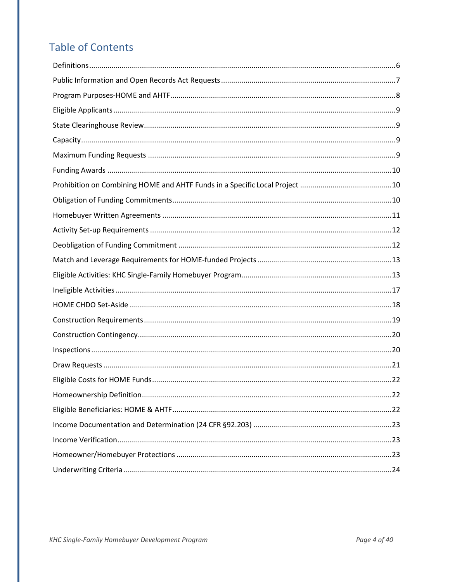# **Table of Contents**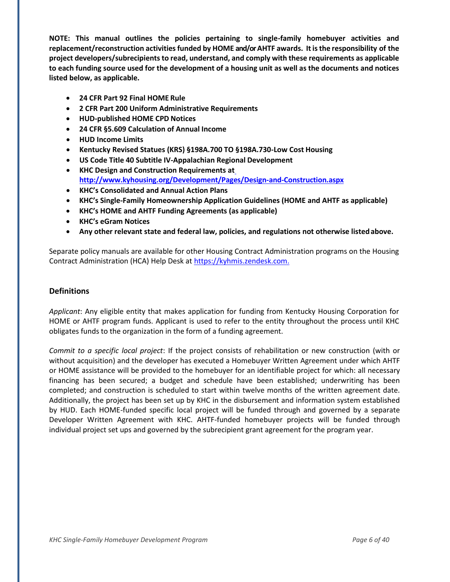**NOTE: This manual outlines the policies pertaining to single-family homebuyer activities and replacement/reconstruction activitiesfunded by HOME and/orAHTF awards. Itisthe responsibility of the project developers/subrecipients to read, understand, and comply with these requirements as applicable to each funding source used for the development of a housing unit as well as the documents and notices listed below, as applicable.**

- **24 CFR Part 92 Final HOME Rule**
- **2 CFR Part 200 Uniform Administrative Requirements**
- **HUD-published HOME CPD Notices**
- **24 CFR §5.609 Calculation of Annual Income**
- **HUD Income Limits**
- **Kentucky Revised Statues (KRS) §198A.700 TO §198A.730-Low Cost Housing**
- **US Code Title 40 Subtitle IV-Appalachian Regional Development**
- **KHC Design and Construction Requirements a[t](http://www.kyhousing.org/Development/Pages/Design-and-Construction.aspx) <http://www.kyhousing.org/Development/Pages/Design-and-Construction.aspx>**
- **KHC's Consolidated and Annual Action Plans**
- **KHC's Single-Family Homeownership Application Guidelines (HOME and AHTF as applicable)**
- **KHC's HOME and AHTF Funding Agreements (as applicable)**
- **KHC's eGram Notices**
- **Any other relevant state and federal law, policies, and regulations not otherwise listedabove.**

Separate policy manuals are available for other Housing Contract Administration programs on the Housing Contract Administration (HCA) Help Desk at [https://kyhmis.zendesk.com.](https://kyhmis.zendesk.com/hc/en-us/)

#### <span id="page-5-0"></span>**Definitions**

*Applicant*: Any eligible entity that makes application for funding from Kentucky Housing Corporation for HOME or AHTF program funds. Applicant is used to refer to the entity throughout the process until KHC obligates funds to the organization in the form of a funding agreement.

*Commit to a specific local project*: If the project consists of rehabilitation or new construction (with or without acquisition) and the developer has executed a Homebuyer Written Agreement under which AHTF or HOME assistance will be provided to the homebuyer for an identifiable project for which: all necessary financing has been secured; a budget and schedule have been established; underwriting has been completed; and construction is scheduled to start within twelve months of the written agreement date. Additionally, the project has been set up by KHC in the disbursement and information system established by HUD. Each HOME-funded specific local project will be funded through and governed by a separate Developer Written Agreement with KHC. AHTF-funded homebuyer projects will be funded through individual project set ups and governed by the subrecipient grant agreement for the program year.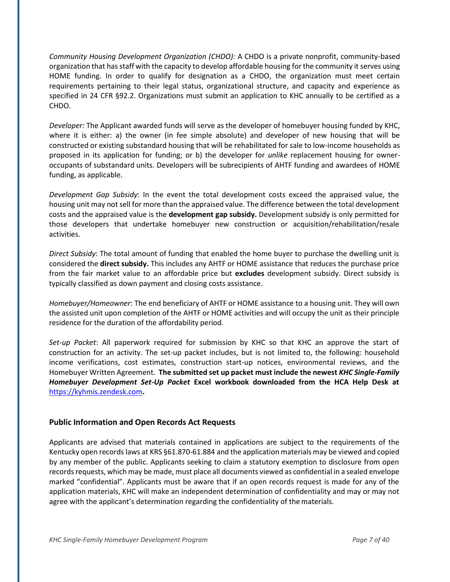*Community Housing Development Organization (CHDO):* A CHDO is a private nonprofit, community-based organization that has staff with the capacity to develop affordable housing for the community it serves using HOME funding. In order to qualify for designation as a CHDO, the organization must meet certain requirements pertaining to their legal status, organizational structure, and capacity and experience as specified in 24 CFR §92.2. Organizations must submit an application to KHC annually to be certified as a CHDO.

*Developer:* The Applicant awarded funds will serve as the developer of homebuyer housing funded by KHC, where it is either: a) the owner (in fee simple absolute) and developer of new housing that will be constructed or existing substandard housing that will be rehabilitated for sale to low-income households as proposed in its application for funding; or b) the developer for *unlike* replacement housing for owneroccupants of substandard units. Developers will be subrecipients of AHTF funding and awardees of HOME funding, as applicable.

*Development Gap Subsidy*: In the event the total development costs exceed the appraised value, the housing unit may not sell for more than the appraised value. The difference between the total development costs and the appraised value is the **development gap subsidy.** Development subsidy is only permitted for those developers that undertake homebuyer new construction or acquisition/rehabilitation/resale activities.

*Direct Subsidy*: The total amount of funding that enabled the home buyer to purchase the dwelling unit is considered the **direct subsidy.** This includes any AHTF or HOME assistance that reduces the purchase price from the fair market value to an affordable price but **excludes** development subsidy. Direct subsidy is typically classified as down payment and closing costs assistance.

*Homebuyer/Homeowner*: The end beneficiary of AHTF or HOME assistance to a housing unit. They will own the assisted unit upon completion of the AHTF or HOME activities and will occupy the unit as their principle residence for the duration of the affordability period.

*Set-up Packet*: All paperwork required for submission by KHC so that KHC an approve the start of construction for an activity. The set-up packet includes, but is not limited to, the following: household income verifications, cost estimates, construction start-up notices, environmental reviews, and the Homebuyer Written Agreement. **The submitted set up packet must include the newest** *KHC Single-Family Homebuyer Development Set-Up Packet* **Excel workbook downloaded from the HCA Help Desk at**  https://kyhmis.zendesk.com**.**

#### <span id="page-6-0"></span>**Public Information and Open Records Act Requests**

Applicants are advised that materials contained in applications are subject to the requirements of the Kentucky open records laws at KRS §61.870-61.884 and the application materials may be viewed and copied by any member of the public. Applicants seeking to claim a statutory exemption to disclosure from open records requests, which may be made, must place all documents viewed as confidential in a sealed envelope marked "confidential". Applicants must be aware that if an open records request is made for any of the application materials, KHC will make an independent determination of confidentiality and may or may not agree with the applicant's determination regarding the confidentiality of thematerials.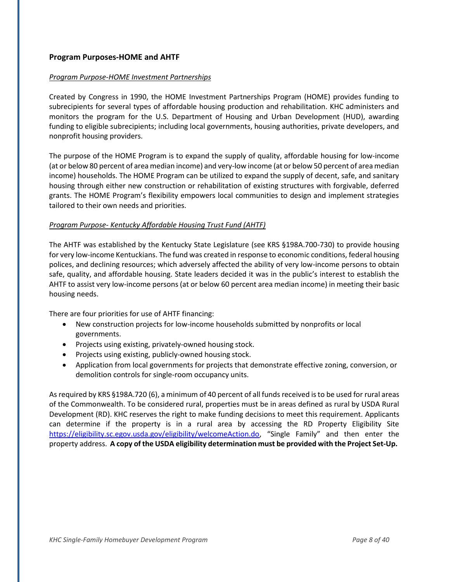# <span id="page-7-0"></span>**Program Purposes-HOME and AHTF**

#### *Program Purpose-HOME Investment Partnerships*

Created by Congress in 1990, the HOME Investment Partnerships Program (HOME) provides funding to subrecipients for several types of affordable housing production and rehabilitation. KHC administers and monitors the program for the U.S. Department of Housing and Urban Development (HUD), awarding funding to eligible subrecipients; including local governments, housing authorities, private developers, and nonprofit housing providers.

The purpose of the HOME Program is to expand the supply of quality, affordable housing for low-income (at or below 80 percent of area median income) and very-low income (at or below 50 percent of area median income) households. The HOME Program can be utilized to expand the supply of decent, safe, and sanitary housing through either new construction or rehabilitation of existing structures with forgivable, deferred grants. The HOME Program's flexibility empowers local communities to design and implement strategies tailored to their own needs and priorities.

#### *Program Purpose- Kentucky Affordable Housing Trust Fund (AHTF)*

The AHTF was established by the Kentucky State Legislature (see KRS §198A.700-730) to provide housing for very low-income Kentuckians. The fund was created in response to economic conditions, federal housing polices, and declining resources; which adversely affected the ability of very low-income persons to obtain safe, quality, and affordable housing. State leaders decided it was in the public's interest to establish the AHTF to assist very low-income persons (at or below 60 percent area median income) in meeting their basic housing needs.

There are four priorities for use of AHTF financing:

- New construction projects for low-income households submitted by nonprofits or local governments.
- Projects using existing, privately-owned housing stock.
- Projects using existing, publicly-owned housing stock.
- Application from local governments for projects that demonstrate effective zoning, conversion, or demolition controls for single-room occupancy units.

As required by KRS §198A.720 (6), a minimum of 40 percent of all funds received isto be used for rural areas of the Commonwealth. To be considered rural, properties must be in areas defined as rural by USDA Rural Development (RD). KHC reserves the right to make funding decisions to meet this requirement. Applicants can determine if the property is in a rural area by accessing the RD Property Eligibility Site https://eligibility.sc.egov.usda.gov/eligibility/welcomeAction.do, "Single Family" and then enter the property address. **A copy of the USDA eligibility determination must be provided with the Project Set-Up.**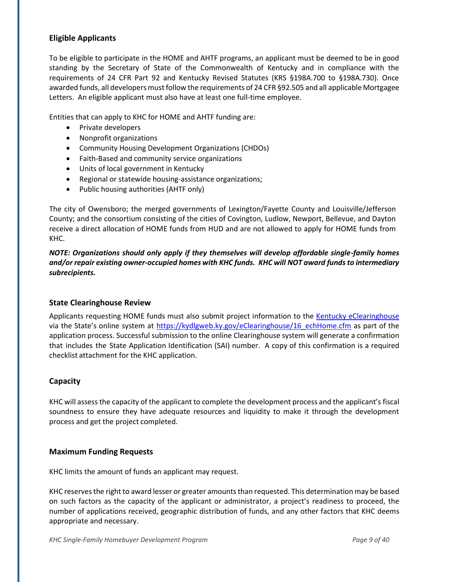# <span id="page-8-0"></span>**Eligible Applicants**

To be eligible to participate in the HOME and AHTF programs, an applicant must be deemed to be in good standing by the Secretary of State of the Commonwealth of Kentucky and in compliance with the requirements of 24 CFR Part 92 and Kentucky Revised Statutes (KRS §198A.700 to §198A.730). Once awarded funds, all developers must follow the requirements of 24 CFR §92.505 and all applicable Mortgagee Letters. An eligible applicant must also have at least one full-time employee.

Entities that can apply to KHC for HOME and AHTF funding are:

- Private developers
- Nonprofit organizations
- Community Housing Development Organizations (CHDOs)
- Faith-Based and community service organizations
- Units of local government in Kentucky
- Regional or statewide housing-assistance organizations;
- Public housing authorities (AHTF only)

The city of Owensboro; the merged governments of Lexington/Fayette County and Louisville/Jefferson County; and the consortium consisting of the cities of Covington, Ludlow, Newport, Bellevue, and Dayton receive a direct allocation of HOME funds from HUD and are not allowed to apply for HOME funds from KHC.

*NOTE: Organizations should only apply if they themselves will develop affordable single-family homes and/or repair existing owner-occupied homes with KHC funds. KHC will NOT award fundsto intermediary subrecipients.*

#### <span id="page-8-1"></span>**State Clearinghouse Review**

Applicants requesting HOME funds must also submit project information to the [Kentucky eClearinghouse](https://kydlgweb.ky.gov/eClearinghouse/16_echHome.cfm) via the State's online system at https://kydlgweb.ky.gov/eClearinghouse/16 echHome.cfm as part of the application process. Successful submission to the online Clearinghouse system will generate a confirmation that includes the State Application Identification (SAI) number. A copy of this confirmation is a required checklist attachment for the KHC application.

#### <span id="page-8-2"></span>**Capacity**

KHC will assessthe capacity of the applicant to complete the development process and the applicant's fiscal soundness to ensure they have adequate resources and liquidity to make it through the development process and get the project completed.

#### <span id="page-8-3"></span>**Maximum Funding Requests**

KHC limits the amount of funds an applicant may request.

<span id="page-8-4"></span>KHC reserves the right to award lesser or greater amounts than requested. This determination may be based on such factors as the capacity of the applicant or administrator, a project's readiness to proceed, the number of applications received, geographic distribution of funds, and any other factors that KHC deems appropriate and necessary.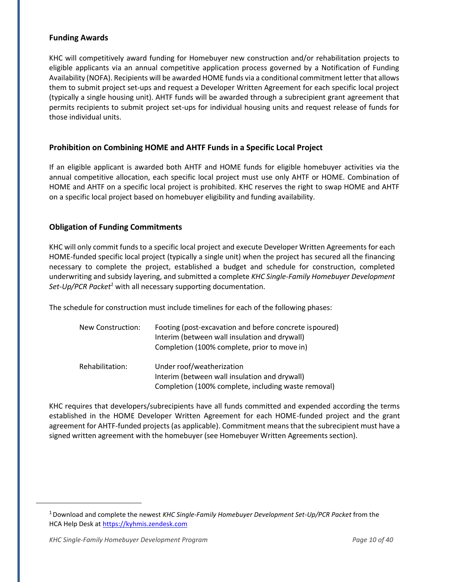## **Funding Awards**

KHC will competitively award funding for Homebuyer new construction and/or rehabilitation projects to eligible applicants via an annual competitive application process governed by a Notification of Funding Availability (NOFA). Recipients will be awarded HOME funds via a conditional commitment letter that allows them to submit project set-ups and request a Developer Written Agreement for each specific local project (typically a single housing unit). AHTF funds will be awarded through a subrecipient grant agreement that permits recipients to submit project set-ups for individual housing units and request release of funds for those individual units.

## <span id="page-9-0"></span>**Prohibition on Combining HOME and AHTF Funds in a Specific Local Project**

If an eligible applicant is awarded both AHTF and HOME funds for eligible homebuyer activities via the annual competitive allocation, each specific local project must use only AHTF or HOME. Combination of HOME and AHTF on a specific local project is prohibited. KHC reserves the right to swap HOME and AHTF on a specific local project based on homebuyer eligibility and funding availability.

## <span id="page-9-1"></span>**Obligation of Funding Commitments**

KHC will only commit funds to a specific local project and execute Developer Written Agreements for each HOME-funded specific local project (typically a single unit) when the project has secured all the financing necessary to complete the project, established a budget and schedule for construction, completed underwriting and subsidy layering, and submitted a complete *KHC Single-Family Homebuyer Development Set-Up/PCR Packet<sup>1</sup>* with all necessary supporting documentation.

The schedule for construction must include timelines for each of the following phases:

| New Construction: | Footing (post-excavation and before concrete is poured)<br>Interim (between wall insulation and drywall)<br>Completion (100% complete, prior to move in) |
|-------------------|----------------------------------------------------------------------------------------------------------------------------------------------------------|
| Rehabilitation:   | Under roof/weatherization<br>Interim (between wall insulation and drywall)<br>Completion (100% complete, including waste removal)                        |

KHC requires that developers/subrecipients have all funds committed and expended according the terms established in the HOME Developer Written Agreement for each HOME-funded project and the grant agreement for AHTF-funded projects (as applicable). Commitment meansthat the subrecipient must have a signed written agreement with the homebuyer (see Homebuyer Written Agreements section).

<sup>1</sup>Download and complete the newest *KHC Single-Family Homebuyer Development Set-Up/PCR Packet* from the HCA Help Desk at [https://kyhmis.zendesk.com](https://kyhmis.zendesk.com/)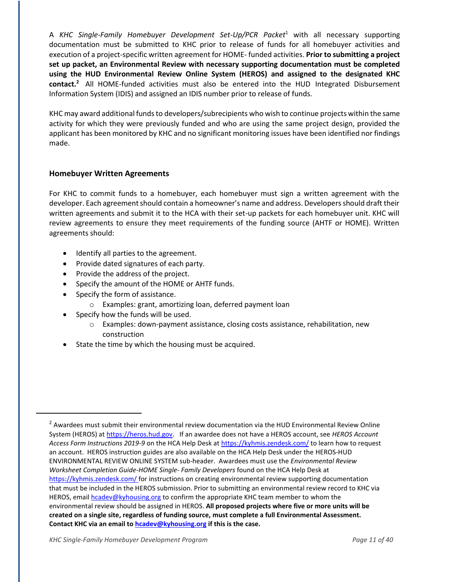A *KHC Single-Family Homebuyer Development Set-Up/PCR Packet* <sup>1</sup> with all necessary supporting documentation must be submitted to KHC prior to release of funds for all homebuyer activities and execution of a project-specific written agreement for HOME- funded activities. **Prior to submitting a project set up packet, an Environmental Review with necessary supporting documentation must be completed using the HUD Environmental Review Online System (HEROS) and assigned to the designated KHC contact.<sup>2</sup>** All HOME-funded activities must also be entered into the HUD Integrated Disbursement Information System (IDIS) and assigned an IDIS number prior to release of funds.

KHC may award additional funds to developers/subrecipients who wish to continue projects within the same activity for which they were previously funded and who are using the same project design, provided the applicant has been monitored by KHC and no significant monitoring issues have been identified nor findings made.

## <span id="page-10-0"></span>**Homebuyer Written Agreements**

For KHC to commit funds to a homebuyer, each homebuyer must sign a written agreement with the developer. Each agreement should contain a homeowner's name and address. Developers should draft their written agreements and submit it to the HCA with their set-up packets for each homebuyer unit. KHC will review agreements to ensure they meet requirements of the funding source (AHTF or HOME). Written agreements should:

- Identify all parties to the agreement.
- Provide dated signatures of each party.
- Provide the address of the project.
- Specify the amount of the HOME or AHTF funds.
- Specify the form of assistance.
	- o Examples: grant, amortizing loan, deferred payment loan
- Specify how the funds will be used.
	- $\circ$  Examples: down-payment assistance, closing costs assistance, rehabilitation, new construction
- State the time by which the housing must be acquired.

<sup>&</sup>lt;sup>2</sup> Awardees must submit their environmental review documentation via the HUD Environmental Review Online System (HEROS) at [https://heros.hud.gov.](https://heros.hud.gov/) If an awardee does not have a HEROS account, see *HEROS Account Access Form Instructions 2019-9* on the HCA Help Desk at<https://kyhmis.zendesk.com/> to learn how to request an account. HEROS instruction guides are also available on the HCA Help Desk under the HEROS-HUD ENVIRONMENTAL REVIEW ONLINE SYSTEM sub-header. Awardees must use the *Environmental Review Worksheet Completion Guide-HOME Single- Family Developers* found on the HCA Help Desk at <https://kyhmis.zendesk.com/> for instructions on creating environmental review supporting documentation that must be included in the HEROS submission. Prior to submitting an environmental review record to KHC via HEROS, email [hcadev@kyhousing.org](mailto:hcadev@kyhousing.org) to confirm the appropriate KHC team member to whom the environmental review should be assigned in HEROS. **All proposed projects where five or more units will be created on a single site, regardless of funding source, must complete a full Environmental Assessment. Contact KHC via an email to [hcadev@kyhousing.org](mailto:hcadev@kyhousing.org) if this is the case.**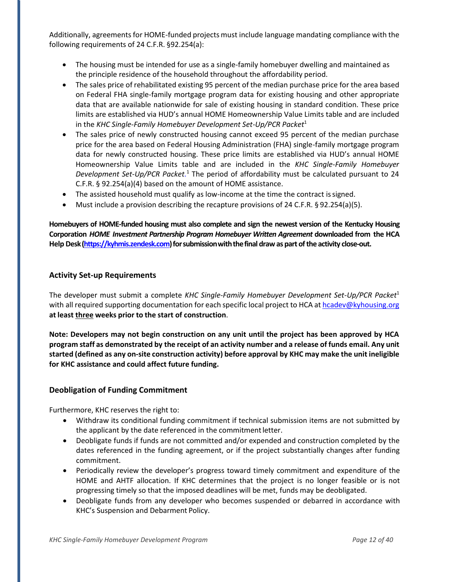Additionally, agreements for HOME-funded projects must include language mandating compliance with the following requirements of 24 C.F.R. §92.254(a):

- The housing must be intended for use as a single-family homebuyer dwelling and maintained as the principle residence of the household throughout the affordability period.
- The sales price of rehabilitated existing 95 percent of the median purchase price for the area based on Federal FHA single-family mortgage program data for existing housing and other appropriate data that are available nationwide for sale of existing housing in standard condition. These price limits are established via HUD's annual HOME Homeownership Value Limits table and are included in the *KHC Single-Family Homebuyer Development Set-Up/PCR Packet*<sup>1</sup>
- The sales price of newly constructed housing cannot exceed 95 percent of the median purchase price for the area based on Federal Housing Administration (FHA) single-family mortgage program data for newly constructed housing. These price limits are established via HUD's annual HOME Homeownership Value Limits table and are included in the *KHC Single-Family Homebuyer Development Set-Up/PCR Packet.* <sup>1</sup> The period of affordability must be calculated pursuant to 24 C.F.R. § 92.254(a)(4) based on the amount of HOME assistance.
- The assisted household must qualify as low-income at the time the contract is signed.
- Must include a provision describing the recapture provisions of 24 C.F.R. § 92.254(a)(5).

**Homebuyers of HOME-funded housing must also complete and sign the newest version of the Kentucky Housing Corporation** *HOME Investment Partnership Program Homebuyer Written Agreement* **downloaded from the HCA Help Desk(https://kyhmis.zendesk.com)forsubmissionwiththefinal draw as part of the activity close-out.**

## <span id="page-11-0"></span>**Activity Set-up Requirements**

The developer must submit a complete *KHC Single-Family Homebuyer Development Set-Up/PCR Packet*<sup>1</sup> with all required supporting documentation for each specific local project to HCA at [hcadev@kyhousing.org](mailto:hcadev@kyhousing.org) **at least three weeks prior to the start of construction**.

**Note: Developers may not begin construction on any unit until the project has been approved by HCA**  program staff as demonstrated by the receipt of an activity number and a release of funds email. Any unit **started (defined as any on-site construction activity) before approval by KHC may make the unit ineligible for KHC assistance and could affect future funding.**

#### <span id="page-11-1"></span>**Deobligation of Funding Commitment**

Furthermore, KHC reserves the right to:

- Withdraw its conditional funding commitment if technical submission items are not submitted by the applicant by the date referenced in the commitmentletter.
- Deobligate funds if funds are not committed and/or expended and construction completed by the dates referenced in the funding agreement, or if the project substantially changes after funding commitment.
- Periodically review the developer's progress toward timely commitment and expenditure of the HOME and AHTF allocation. If KHC determines that the project is no longer feasible or is not progressing timely so that the imposed deadlines will be met, funds may be deobligated.
- Deobligate funds from any developer who becomes suspended or debarred in accordance with KHC's Suspension and Debarment Policy.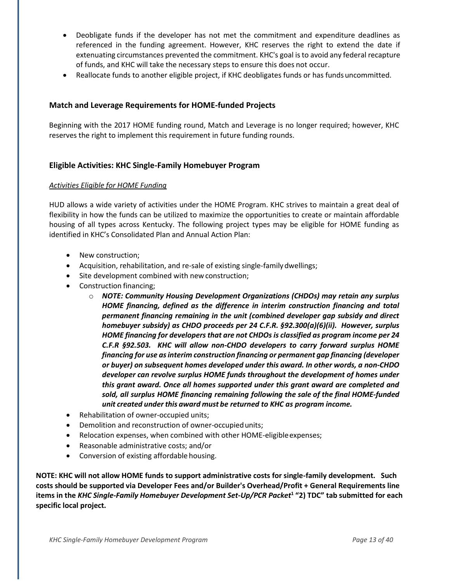- Deobligate funds if the developer has not met the commitment and expenditure deadlines as referenced in the funding agreement. However, KHC reserves the right to extend the date if extenuating circumstances prevented the commitment. KHC's goal isto avoid any federal recapture of funds, and KHC will take the necessary steps to ensure this does not occur.
- Reallocate funds to another eligible project, if KHC deobligates funds or has funds uncommitted.

# <span id="page-12-0"></span>**Match and Leverage Requirements for HOME-funded Projects**

Beginning with the 2017 HOME funding round, Match and Leverage is no longer required; however, KHC reserves the right to implement this requirement in future funding rounds.

## <span id="page-12-1"></span>**Eligible Activities: KHC Single-Family Homebuyer Program**

#### *Activities Eligible for HOME Funding*

HUD allows a wide variety of activities under the HOME Program. KHC strives to maintain a great deal of flexibility in how the funds can be utilized to maximize the opportunities to create or maintain affordable housing of all types across Kentucky. The following project types may be eligible for HOME funding as identified in KHC's Consolidated Plan and Annual Action Plan:

- New construction;
- Acquisition, rehabilitation, and re-sale of existing single-family dwellings;
- Site development combined with new construction;
- Construction financing;
	- o *NOTE: Community Housing Development Organizations (CHDOs) may retain any surplus HOME financing, defined as the difference in interim construction financing and total permanent financing remaining in the unit (combined developer gap subsidy and direct homebuyer subsidy) as CHDO proceeds per 24 C.F.R. §92.300(a)(6)(ii). However, surplus HOME financing for developers that are not CHDOs is classified as program income per 24 C.F.R §92.503. KHC will allow non-CHDO developers to carry forward surplus HOME financing for use as interim construction financing or permanent gap financing (developer or buyer) on subsequent homes developed under this award. In other words, a non-CHDO developer can revolve surplus HOME funds throughout the development of homes under this grant award. Once all homes supported under this grant award are completed and sold, all surplus HOME financing remaining following the sale of the final HOME-funded unit created under this award must be returned to KHC as program income.*
- Rehabilitation of owner-occupied units;
- Demolition and reconstruction of owner-occupiedunits;
- Relocation expenses, when combined with other HOME-eligible expenses;
- Reasonable administrative costs; and/or
- Conversion of existing affordable housing.

**NOTE: KHC will not allow HOME funds to support administrative costs for single-family development. Such costs should be supported via Developer Fees and/or Builder's Overhead/Profit + General Requirements line items in the** *KHC Single-Family Homebuyer Development Set-Up/PCR Packet***<sup>1</sup> "2) TDC" tab submitted for each specific local project.**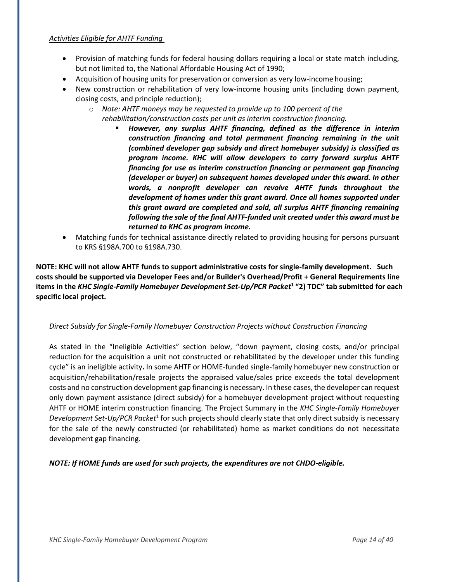#### *Activities Eligible for AHTF Funding*

- Provision of matching funds for federal housing dollars requiring a local or state match including, but not limited to, the National Affordable Housing Act of 1990;
- Acquisition of housing units for preservation or conversion as very low-income housing;
- New construction or rehabilitation of very low-income housing units (including down payment, closing costs, and principle reduction);
	- o *Note: AHTF moneys may be requested to provide up to 100 percent of the rehabilitation/construction costs per unit as interim construction financing.*
		- *However, any surplus AHTF financing, defined as the difference in interim construction financing and total permanent financing remaining in the unit (combined developer gap subsidy and direct homebuyer subsidy) is classified as program income. KHC will allow developers to carry forward surplus AHTF financing for use as interim construction financing or permanent gap financing (developer or buyer) on subsequent homes developed under this award. In other words, a nonprofit developer can revolve AHTF funds throughout the development of homes under this grant award. Once all homes supported under this grant award are completed and sold, all surplus AHTF financing remaining following the sale of the final AHTF-funded unit created under this award must be returned to KHC as program income.*
- Matching funds for technical assistance directly related to providing housing for persons pursuant to KRS §198A.700 to §198A.730.

**NOTE: KHC will not allow AHTF funds to support administrative costs for single-family development. Such costs should be supported via Developer Fees and/or Builder's Overhead/Profit + General Requirements line items in the** *KHC Single-Family Homebuyer Development Set-Up/PCR Packet***<sup>1</sup> "2) TDC" tab submitted for each specific local project.** 

#### *Direct Subsidy for Single-Family Homebuyer Construction Projects without Construction Financing*

As stated in the "Ineligible Activities" section below, "down payment, closing costs, and/or principal reduction for the acquisition a unit not constructed or rehabilitated by the developer under this funding cycle" is an ineligible activity**.** In some AHTF or HOME-funded single-family homebuyer new construction or acquisition/rehabilitation/resale projects the appraised value/sales price exceeds the total development costs and no construction development gap financing is necessary. In these cases, the developer can request only down payment assistance (direct subsidy) for a homebuyer development project without requesting AHTF or HOME interim construction financing. The Project Summary in the *KHC Single-Family Homebuyer*  Development Set-Up/PCR Packet<sup>1</sup> for such projects should clearly state that only direct subsidy is necessary for the sale of the newly constructed (or rehabilitated) home as market conditions do not necessitate development gap financing.

*NOTE: If HOME funds are used for such projects, the expenditures are not CHDO-eligible.*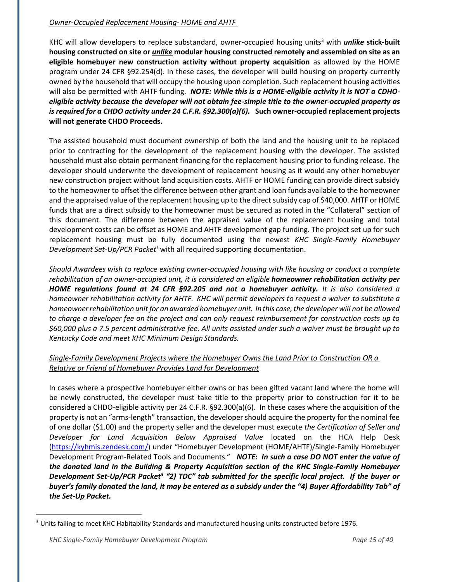#### *Owner-Occupied Replacement Housing- HOME and AHTF*

KHC will allow developers to replace substandard, owner-occupied housing units<sup>3</sup> with *unlike* stick-built **housing constructed on site or** *unlike* **modular housing constructed remotely and assembled on site as an eligible homebuyer new construction activity without property acquisition** as allowed by the HOME program under 24 CFR §92.254(d). In these cases, the developer will build housing on property currently owned by the household that will occupy the housing upon completion. Such replacement housing activities will also be permitted with AHTF funding. *NOTE: While this is a HOME-eligible activity it is NOT a CDHOeligible activity because the developer will not obtain fee-simple title to the owner-occupied property as is required for a CHDO activity under 24 C.F.R. §92.300(a)(6).* **Such owner-occupied replacement projects will not generate CHDO Proceeds.**

The assisted household must document ownership of both the land and the housing unit to be replaced prior to contracting for the development of the replacement housing with the developer. The assisted household must also obtain permanent financing for the replacement housing prior to funding release. The developer should underwrite the development of replacement housing as it would any other homebuyer new construction project without land acquisition costs. AHTF or HOME funding can provide direct subsidy to the homeowner to offset the difference between other grant and loan funds available to the homeowner and the appraised value of the replacement housing up to the direct subsidy cap of \$40,000. AHTF or HOME funds that are a direct subsidy to the homeowner must be secured as noted in the "Collateral" section of this document. The difference between the appraised value of the replacement housing and total development costs can be offset as HOME and AHTF development gap funding. The project set up for such replacement housing must be fully documented using the newest *KHC Single-Family Homebuyer Development Set-Up/PCR Packet*<sup>1</sup>with all required supporting documentation.

*Should Awardees wish to replace existing owner-occupied housing with like housing or conduct a complete rehabilitation of an owner-occupied unit, it is considered an eligible homeowner rehabilitation activity per HOME regulations found at 24 CFR §92.205 and not a homebuyer activity. It is also considered a homeowner rehabilitation activity for AHTF. KHC will permit developers to request a waiver to substitute a homeownerrehabilitation unitfor an awarded homebuyer unit. In this case,the developer will not be allowed to charge a developer fee on the project and can only request reimbursement for construction costs up to \$60,000 plus a 7.5 percent administrative fee. All units assisted under such a waiver must be brought up to Kentucky Code and meet KHC Minimum Design Standards.*

# *Single-Family Development Projects where the Homebuyer Owns the Land Prior to Construction OR a Relative or Friend of Homebuyer Provides Land for Development*

In cases where a prospective homebuyer either owns or has been gifted vacant land where the home will be newly constructed, the developer must take title to the property prior to construction for it to be considered a CHDO-eligible activity per 24 C.F.R. §92.300(a)(6). In these cases where the acquisition of the property is not an "arms-length" transaction, the developer should acquire the property for the nominal fee of one dollar (\$1.00) and the property seller and the developer must execute *the Certification of Seller and Developer for Land Acquisition Below Appraised Value* located on the HCA Help Desk [\(https://kyhmis.zendesk.com/](https://kyhmis.zendesk.com/)) under "Homebuyer Development (HOME/AHTF)/Single-Family Homebuyer Development Program-Related Tools and Documents." *NOTE: In such a case DO NOT enter the value of the donated land in the Building & Property Acquisition section of the KHC Single-Family Homebuyer Development Set-Up/PCR Packet<sup>3</sup> "2) TDC" tab submitted for the specific local project. If the buyer or buyer's family donated the land, it may be entered as a subsidy under the "4) Buyer Affordability Tab" of the Set-Up Packet.*

<sup>&</sup>lt;sup>3</sup> Units failing to meet KHC Habitability Standards and manufactured housing units constructed before 1976.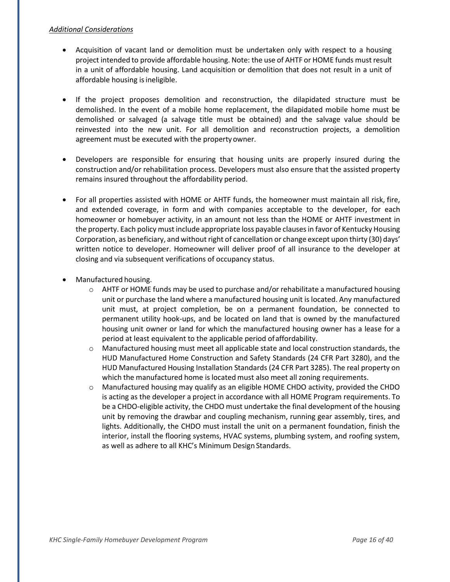#### *Additional Considerations*

- Acquisition of vacant land or demolition must be undertaken only with respect to a housing project intended to provide affordable housing. Note: the use of AHTF or HOME funds must result in a unit of affordable housing. Land acquisition or demolition that does not result in a unit of affordable housing is ineligible.
- If the project proposes demolition and reconstruction, the dilapidated structure must be demolished. In the event of a mobile home replacement, the dilapidated mobile home must be demolished or salvaged (a salvage title must be obtained) and the salvage value should be reinvested into the new unit. For all demolition and reconstruction projects, a demolition agreement must be executed with the propertyowner.
- Developers are responsible for ensuring that housing units are properly insured during the construction and/or rehabilitation process. Developers must also ensure that the assisted property remains insured throughout the affordability period.
- For all properties assisted with HOME or AHTF funds, the homeowner must maintain all risk, fire, and extended coverage, in form and with companies acceptable to the developer, for each homeowner or homebuyer activity, in an amount not less than the HOME or AHTF investment in the property. Each policy must include appropriate loss payable clauses in favor of Kentucky Housing Corporation, as beneficiary, and without right of cancellation or change except upon thirty (30) days' written notice to developer. Homeowner will deliver proof of all insurance to the developer at closing and via subsequent verifications of occupancy status.
- Manufactured housing.
	- $\circ$  AHTF or HOME funds may be used to purchase and/or rehabilitate a manufactured housing unit or purchase the land where a manufactured housing unit is located. Any manufactured unit must, at project completion, be on a permanent foundation, be connected to permanent utility hook-ups, and be located on land that is owned by the manufactured housing unit owner or land for which the manufactured housing owner has a lease for a period at least equivalent to the applicable period ofaffordability.
	- o Manufactured housing must meet all applicable state and local construction standards, the HUD Manufactured Home Construction and Safety Standards (24 CFR Part 3280), and the HUD Manufactured Housing Installation Standards (24 CFR Part 3285). The real property on which the manufactured home is located must also meet all zoning requirements.
	- o Manufactured housing may qualify as an eligible HOME CHDO activity, provided the CHDO is acting as the developer a project in accordance with all HOME Program requirements. To be a CHDO-eligible activity, the CHDO must undertake the final development of the housing unit by removing the drawbar and coupling mechanism, running gear assembly, tires, and lights. Additionally, the CHDO must install the unit on a permanent foundation, finish the interior, install the flooring systems, HVAC systems, plumbing system, and roofing system, as well as adhere to all KHC's Minimum Design Standards.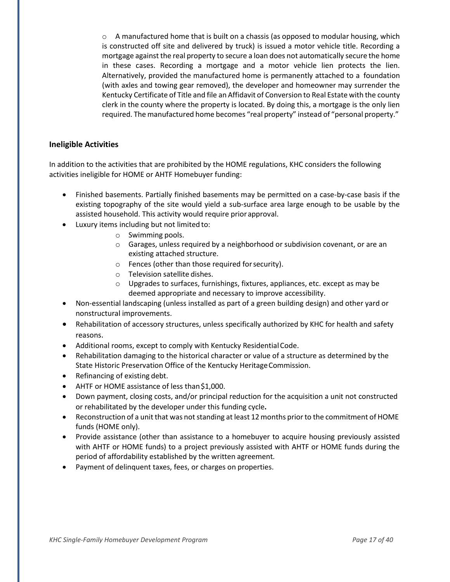$\circ$  A manufactured home that is built on a chassis (as opposed to modular housing, which is constructed off site and delivered by truck) is issued a motor vehicle title. Recording a mortgage against the real property to secure a loan does not automatically secure the home in these cases. Recording a mortgage and a motor vehicle lien protects the lien. Alternatively, provided the manufactured home is permanently attached to a foundation (with axles and towing gear removed), the developer and homeowner may surrender the Kentucky Certificate of Title and file an Affidavit of Conversion to Real Estate with the county clerk in the county where the property is located. By doing this, a mortgage is the only lien required. The manufactured home becomes "real property" instead of "personal property."

#### <span id="page-16-0"></span>**Ineligible Activities**

In addition to the activities that are prohibited by the HOME regulations, KHC considers the following activities ineligible for HOME or AHTF Homebuyer funding:

- Finished basements. Partially finished basements may be permitted on a case-by-case basis if the existing topography of the site would yield a sub-surface area large enough to be usable by the assisted household. This activity would require priorapproval.
- Luxury items including but not limited to:
	- o Swimming pools.
	- $\circ$  Garages, unless required by a neighborhood or subdivision covenant, or are an existing attached structure.
	- o Fences (other than those required forsecurity).
	- o Television satellite dishes.
	- $\circ$  Upgrades to surfaces, furnishings, fixtures, appliances, etc. except as may be deemed appropriate and necessary to improve accessibility.
- Non-essential landscaping (unless installed as part of a green building design) and other yard or nonstructural improvements.
- Rehabilitation of accessory structures, unless specifically authorized by KHC for health and safety reasons.
- Additional rooms, except to comply with Kentucky ResidentialCode.
- Rehabilitation damaging to the historical character or value of a structure as determined by the State Historic Preservation Office of the Kentucky HeritageCommission.
- Refinancing of existing debt.
- AHTF or HOME assistance of less than \$1,000.
- Down payment, closing costs, and/or principal reduction for the acquisition a unit not constructed or rehabilitated by the developer under this funding cycle**.**
- Reconstruction of a unit that was not standing at least 12 months prior to the commitment of HOME funds (HOME only).
- Provide assistance (other than assistance to a homebuyer to acquire housing previously assisted with AHTF or HOME funds) to a project previously assisted with AHTF or HOME funds during the period of affordability established by the written agreement*.*
- Payment of delinquent taxes, fees, or charges on properties.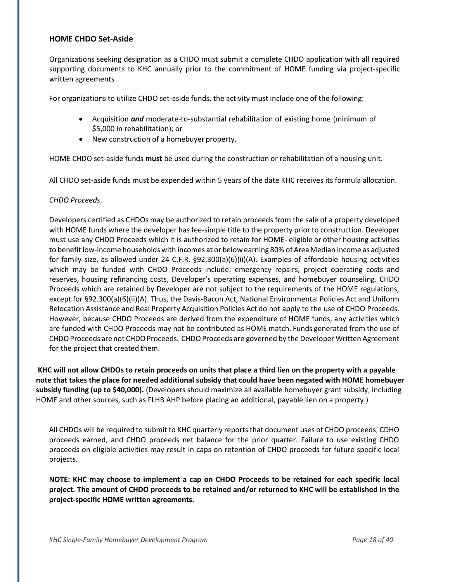#### <span id="page-17-0"></span>**HOME CHDO Set-Aside**

Organizations seeking designation as a CHDO must submit a complete CHDO application with all required supporting documents to KHC annually prior to the commitment of HOME funding via project-specific written agreements

For organizations to utilize CHDO set-aside funds, the activity must include one of the following:

- Acquisition *and* moderate-to-substantial rehabilitation of existing home (minimum of \$5,000 in rehabilitation); or
- New construction of a homebuyer property.

HOME CHDO set-aside funds **must** be used during the construction or rehabilitation of a housing unit.

All CHDO set-aside funds must be expended within 5 years of the date KHC receives its formula allocation.

#### *CHDO Proceeds*

Developers certified as CHDOs may be authorized to retain proceeds from the sale of a property developed with HOME funds where the developer has fee-simple title to the property prior to construction. Developer must use any CHDO Proceeds which it is authorized to retain for HOME- eligible or other housing activities to benefit low-income households with incomes at or below earning 80% of Area Median Income as adjusted for family size, as allowed under 24 C.F.R. §92.300(a)(6)(ii)(A). Examples of affordable housing activities which may be funded with CHDO Proceeds include: emergency repairs, project operating costs and reserves, housing refinancing costs, Developer's operating expenses, and homebuyer counseling. CHDO Proceeds which are retained by Developer are not subject to the requirements of the HOME regulations, except for §92.300(a)(6)(ii)(A). Thus, the Davis-Bacon Act, National Environmental Policies Act and Uniform Relocation Assistance and Real Property Acquisition Policies Act do not apply to the use of CHDO Proceeds. However, because CHDO Proceeds are derived from the expenditure of HOME funds, any activities which are funded with CHDO Proceeds may not be contributed as HOME match. Funds generated from the use of CHDO Proceeds are not CHDO Proceeds. CHDO Proceeds are governed by the Developer Written Agreement for the project that created them.

**KHC will not allow CHDOs to retain proceeds on units that place a third lien on the property with a payable note that takes the place for needed additional subsidy that could have been negated with HOME homebuyer subsidy funding (up to \$40,000).** (Developers should maximize all available homebuyer grant subsidy, including HOME and other sources, such as FLHB AHP before placing an additional, payable lien on a property.)

All CHDOs will be required to submit to KHC quarterly reportsthat document uses of CHDO proceeds, CDHO proceeds earned, and CHDO proceeds net balance for the prior quarter. Failure to use existing CHDO proceeds on eligible activities may result in caps on retention of CHDO proceeds for future specific local projects.

**NOTE: KHC may choose to implement a cap on CHDO Proceeds to be retained for each specific local project. The amount of CHDO proceeds to be retained and/or returned to KHC will be established in the project-specific HOME written agreements.**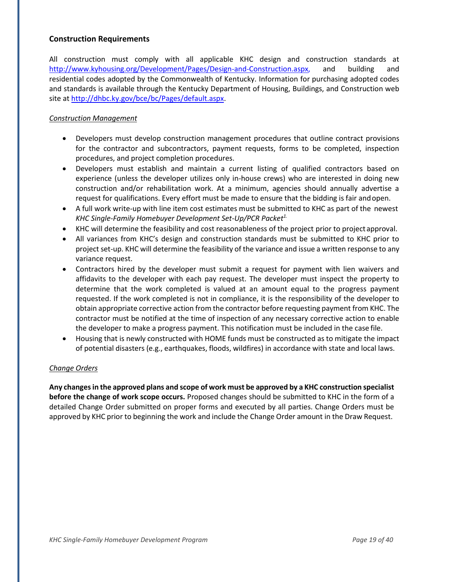#### <span id="page-18-0"></span>**Construction Requirements**

All construction must comply with all applicable KHC design and construction standards at [http://www.kyhousing.org/Development/Pages/Design-and-Construction.aspx,](http://www.kyhousing.org/Development/Pages/Design-and-Construction.aspx) and building and residential codes adopted by the Commonwealth of Kentucky. Information for purchasing adopted codes and standards is available through the Kentucky Department of Housing, Buildings, and Construction web site at [http://dhbc.ky.gov/bce/bc/Pages/default.aspx.](http://dhbc.ky.gov/bce/bc/Pages/default.aspx)

## *Construction Management*

- Developers must develop construction management procedures that outline contract provisions for the contractor and subcontractors, payment requests, forms to be completed, inspection procedures, and project completion procedures.
- Developers must establish and maintain a current listing of qualified contractors based on experience (unless the developer utilizes only in-house crews) who are interested in doing new construction and/or rehabilitation work. At a minimum, agencies should annually advertise a request for qualifications. Every effort must be made to ensure that the bidding is fair andopen.
- A full work write-up with line item cost estimates must be submitted to KHC as part of the newest *KHC Single-Family Homebuyer Development Set-Up/PCR Packet 1.*
- KHC will determine the feasibility and cost reasonableness of the project prior to project approval.
- All variances from KHC's design and construction standards must be submitted to KHC prior to project set-up. KHC will determine the feasibility of the variance and issue a written response to any variance request.
- Contractors hired by the developer must submit a request for payment with lien waivers and affidavits to the developer with each pay request. The developer must inspect the property to determine that the work completed is valued at an amount equal to the progress payment requested. If the work completed is not in compliance, it is the responsibility of the developer to obtain appropriate corrective action from the contractor before requesting payment from KHC. The contractor must be notified at the time of inspection of any necessary corrective action to enable the developer to make a progress payment. This notification must be included in the case file.
- Housing that is newly constructed with HOME funds must be constructed as to mitigate the impact of potential disasters (e.g., earthquakes, floods, wildfires) in accordance with state and local laws.

#### *Change Orders*

**Any changes in the approved plans and scope of work must be approved by a KHC construction specialist before the change of work scope occurs.** Proposed changes should be submitted to KHC in the form of a detailed Change Order submitted on proper forms and executed by all parties. Change Orders must be approved by KHC prior to beginning the work and include the Change Order amount in the Draw Request.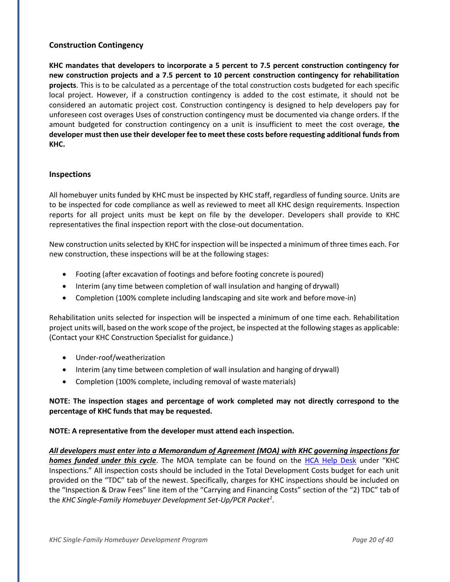## <span id="page-19-0"></span>**Construction Contingency**

**KHC mandates that developers to incorporate a 5 percent to 7.5 percent construction contingency for new construction projects and a 7.5 percent to 10 percent construction contingency for rehabilitation projects**. This is to be calculated as a percentage of the total construction costs budgeted for each specific local project. However, if a construction contingency is added to the cost estimate, it should not be considered an automatic project cost. Construction contingency is designed to help developers pay for unforeseen cost overages Uses of construction contingency must be documented via change orders. If the amount budgeted for construction contingency on a unit is insufficient to meet the cost overage, **the developer must then use their developer fee to meet these costs before requesting additional funds from KHC.**

#### <span id="page-19-1"></span>**Inspections**

All homebuyer units funded by KHC must be inspected by KHC staff, regardless of funding source. Units are to be inspected for code compliance as well as reviewed to meet all KHC design requirements. Inspection reports for all project units must be kept on file by the developer. Developers shall provide to KHC representatives the final inspection report with the close-out documentation.

New construction units selected by KHC for inspection will be inspected a minimum of three times each. For new construction, these inspections will be at the following stages:

- Footing (after excavation of footings and before footing concrete is poured)
- Interim (any time between completion of wall insulation and hanging of drywall)
- Completion (100% complete including landscaping and site work and before move-in)

Rehabilitation units selected for inspection will be inspected a minimum of one time each. Rehabilitation project units will, based on the work scope of the project, be inspected at the following stages as applicable: (Contact your KHC Construction Specialist for guidance.)

- Under-roof/weatherization
- Interim (any time between completion of wall insulation and hanging of drywall)
- Completion (100% complete, including removal of waste materials)

# **NOTE: The inspection stages and percentage of work completed may not directly correspond to the percentage of KHC funds that may be requested.**

#### **NOTE: A representative from the developer must attend each inspection.**

*All developers must enter into a Memorandum of Agreement (MOA) with KHC governing inspections for homes funded under this cycle*. The MOA template can be found on the [HCA Help Desk](https://kyhmis.zendesk.com/) under "KHC Inspections." All inspection costs should be included in the Total Development Costs budget for each unit provided on the "TDC" tab of the newest. Specifically, charges for KHC inspections should be included on the "Inspection & Draw Fees" line item of the "Carrying and Financing Costs" section of the "2) TDC" tab of the *KHC Single-Family Homebuyer Development Set-Up/PCR Packet<sup>1</sup>* .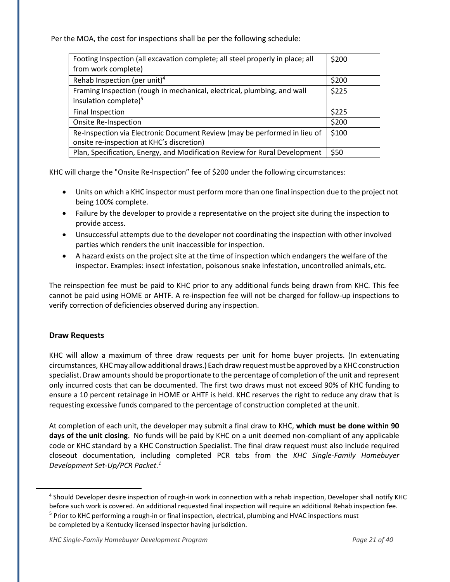Per the MOA, the cost for inspections shall be per the following schedule:

| Footing Inspection (all excavation complete; all steel properly in place; all                                          | \$200 |
|------------------------------------------------------------------------------------------------------------------------|-------|
| from work complete)                                                                                                    |       |
| Rehab Inspection (per unit) <sup>4</sup>                                                                               | \$200 |
| Framing Inspection (rough in mechanical, electrical, plumbing, and wall                                                | \$225 |
| insulation complete) <sup>5</sup>                                                                                      |       |
| <b>Final Inspection</b>                                                                                                | \$225 |
| Onsite Re-Inspection                                                                                                   | \$200 |
| Re-Inspection via Electronic Document Review (may be performed in lieu of<br>onsite re-inspection at KHC's discretion) | \$100 |
| Plan, Specification, Energy, and Modification Review for Rural Development                                             | \$50  |

KHC will charge the "Onsite Re-Inspection" fee of \$200 under the following circumstances:

- Units on which a KHC inspector must perform more than one final inspection due to the project not being 100% complete.
- Failure by the developer to provide a representative on the project site during the inspection to provide access.
- Unsuccessful attempts due to the developer not coordinating the inspection with other involved parties which renders the unit inaccessible for inspection.
- A hazard exists on the project site at the time of inspection which endangers the welfare of the inspector. Examples: insect infestation, poisonous snake infestation, uncontrolled animals, etc.

The reinspection fee must be paid to KHC prior to any additional funds being drawn from KHC. This fee cannot be paid using HOME or AHTF. A re-inspection fee will not be charged for follow-up inspections to verify correction of deficiencies observed during any inspection.

# <span id="page-20-0"></span>**Draw Requests**

KHC will allow a maximum of three draw requests per unit for home buyer projects. (In extenuating circumstances, KHCmay allow additional draws.) Each draw requestmust be approved by a KHC construction specialist. Draw amounts should be proportionate to the percentage of completion of the unit and represent only incurred costs that can be documented. The first two draws must not exceed 90% of KHC funding to ensure a 10 percent retainage in HOME or AHTF is held. KHC reserves the right to reduce any draw that is requesting excessive funds compared to the percentage of construction completed at the unit.

At completion of each unit, the developer may submit a final draw to KHC, **which must be done within 90 days of the unit closing**. No funds will be paid by KHC on a unit deemed non-compliant of any applicable code or KHC standard by a KHC Construction Specialist. The final draw request must also include required closeout documentation, including completed PCR tabs from the *KHC Single-Family Homebuyer Development Set-Up/PCR Packet.<sup>1</sup>*

<sup>&</sup>lt;sup>4</sup> Should Developer desire inspection of rough-in work in connection with a rehab inspection, Developer shall notify KHC before such work is covered. An additional requested final inspection will require an additional Rehab inspection fee. <sup>5</sup> Prior to KHC performing a rough-in or final inspection, electrical, plumbing and HVAC inspections must be completed by a Kentucky licensed inspector having jurisdiction.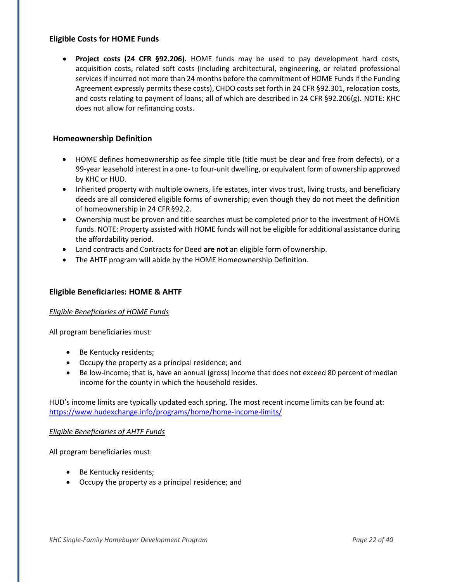## <span id="page-21-0"></span>**Eligible Costs for HOME Funds**

• **Project costs (24 CFR §92.206).** HOME funds may be used to pay development hard costs, acquisition costs, related soft costs (including architectural, engineering, or related professional services if incurred not more than 24 months before the commitment of HOME Funds if the Funding Agreement expressly permits these costs), CHDO costsset forth in 24 CFR §92.301, relocation costs, and costs relating to payment of loans; all of which are described in 24 CFR §92.206(g). NOTE: KHC does not allow for refinancing costs.

## <span id="page-21-1"></span>**Homeownership Definition**

- HOME defines homeownership as fee simple title (title must be clear and free from defects), or a 99-year leasehold interest in a one- to four-unit dwelling, or equivalent form of ownership approved by KHC or HUD.
- Inherited property with multiple owners, life estates, inter vivos trust, living trusts, and beneficiary deeds are all considered eligible forms of ownership; even though they do not meet the definition of homeownership in 24 CFR§92.2.
- Ownership must be proven and title searches must be completed prior to the investment of HOME funds. NOTE: Property assisted with HOME funds will not be eligible for additional assistance during the affordability period.
- Land contracts and Contracts for Deed **are not** an eligible form ofownership.
- The AHTF program will abide by the HOME Homeownership Definition.

#### <span id="page-21-2"></span>**Eligible Beneficiaries: HOME & AHTF**

#### *Eligible Beneficiaries of HOME Funds*

All program beneficiaries must:

- Be Kentucky residents;
- Occupy the property as a principal residence; and
- Be low-income; that is, have an annual (gross) income that does not exceed 80 percent of median income for the county in which the household resides.

HUD's income limits are typically updated each spring. The most recent income limits can be found at: https:/[/www.hudexchange.info/programs/home/home-income-limits/](http://www.hudexchange.info/programs/home/home-income-limits/)

#### *Eligible Beneficiaries of AHTF Funds*

All program beneficiaries must:

- Be Kentucky residents;
- Occupy the property as a principal residence; and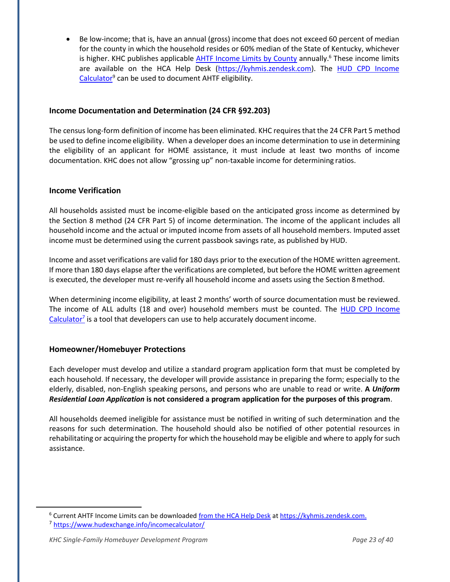• Be low-income; that is, have an annual (gross) income that does not exceed 60 percent of median for the county in which the household resides or 60% median of the State of Kentucky, whichever is higher. KHC publishes applicable  $AHTF$  Income Limits by County annually.<sup>6</sup> These income limits are available on the HCA Help Desk (https://kyhmis.zendesk.com). The HUD CPD Income Calculator<sup>9</sup> can be used to document AHTF eligibility.

# <span id="page-22-0"></span>**Income Documentation and Determination (24 CFR §92.203)**

The census long-form definition of income has been eliminated. KHC requiresthat the 24 CFR Part 5 method be used to define income eligibility. When a developer does an income determination to use in determining the eligibility of an applicant for HOME assistance, it must include at least two months of income documentation. KHC does not allow "grossing up" non-taxable income for determining ratios.

## <span id="page-22-1"></span>**Income Verification**

All households assisted must be income-eligible based on the anticipated gross income as determined by the Section 8 method (24 CFR Part 5) of income determination. The income of the applicant includes all household income and the actual or imputed income from assets of all household members. Imputed asset income must be determined using the current passbook savings rate, as published by HUD.

Income and asset verifications are valid for 180 days prior to the execution of the HOME written agreement. If more than 180 days elapse after the verifications are completed, but before the HOME written agreement is executed, the developer must re-verify all household income and assets using the Section 8method.

When determining income eligibility, at least 2 months' worth of source documentation must be reviewed. The income of ALL adults (18 and over) household members must be counted. The HUD CPD Income Calculator<sup>7</sup> is a tool that developers can use to help accurately document income.

# <span id="page-22-2"></span>**Homeowner/Homebuyer Protections**

Each developer must develop and utilize a standard program application form that must be completed by each household. If necessary, the developer will provide assistance in preparing the form; especially to the elderly, disabled, non-English speaking persons, and persons who are unable to read or write. **A** *Uniform Residential Loan Application* **is not considered a program application for the purposes of this program**.

All households deemed ineligible for assistance must be notified in writing of such determination and the reasons for such determination. The household should also be notified of other potential resources in rehabilitating or acquiring the property for which the household may be eligible and where to apply for such assistance.

<sup>6</sup> Current AHTF Income Limits can be downloade[d from the HCA Help Desk](https://kyhmis.zendesk.com/) at [https://kyhmis.zendesk.com.](https://kyhmis.zendesk.com/)

<sup>&</sup>lt;sup>7</sup> https:/[/www.hudexchange.info/incomecalculator/](http://www.hudexchange.info/incomecalculator/)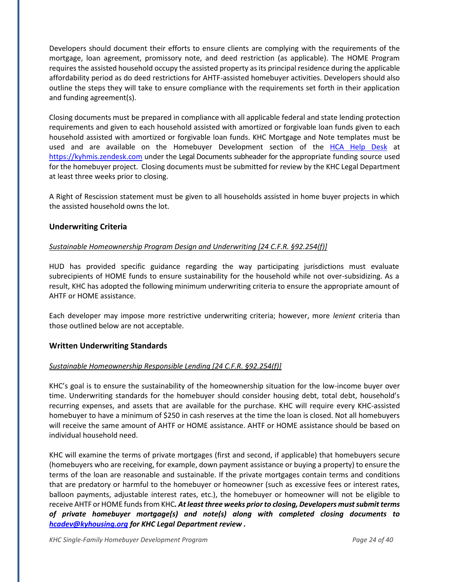Developers should document their efforts to ensure clients are complying with the requirements of the mortgage, loan agreement, promissory note, and deed restriction (as applicable). The HOME Program requires the assisted household occupy the assisted property as its principal residence during the applicable affordability period as do deed restrictions for AHTF-assisted homebuyer activities. Developers should also outline the steps they will take to ensure compliance with the requirements set forth in their application and funding agreement(s).

Closing documents must be prepared in compliance with all applicable federal and state lending protection requirements and given to each household assisted with amortized or forgivable loan funds given to each household assisted with amortized or forgivable loan funds. KHC Mortgage and Note templates must be used and are available on the Homebuyer Development section of the HCA Help Desk at https://kyhmis.zendesk.com under the Legal Documents subheader for the appropriate funding source used for the homebuyer project. Closing documents must be submitted for review by the KHC Legal Department at least three weeks prior to closing.

A Right of Rescission statement must be given to all households assisted in home buyer projects in which the assisted household owns the lot.

## <span id="page-23-0"></span>**Underwriting Criteria**

#### *Sustainable Homeownership Program Design and Underwriting [24 C.F.R. §92.254(f)]*

HUD has provided specific guidance regarding the way participating jurisdictions must evaluate subrecipients of HOME funds to ensure sustainability for the household while not over-subsidizing. As a result, KHC has adopted the following minimum underwriting criteria to ensure the appropriate amount of AHTF or HOME assistance.

Each developer may impose more restrictive underwriting criteria; however, more *lenient* criteria than those outlined below are not acceptable.

#### **Written Underwriting Standards**

#### *Sustainable Homeownership Responsible Lending [24 C.F.R. §92.254(f)]*

KHC's goal is to ensure the sustainability of the homeownership situation for the low-income buyer over time. Underwriting standards for the homebuyer should consider housing debt, total debt, household's recurring expenses, and assets that are available for the purchase. KHC will require every KHC-assisted homebuyer to have a minimum of \$250 in cash reserves at the time the loan is closed. Not all homebuyers will receive the same amount of AHTF or HOME assistance. AHTF or HOME assistance should be based on individual household need.

KHC will examine the terms of private mortgages (first and second, if applicable) that homebuyers secure (homebuyers who are receiving, for example, down payment assistance or buying a property) to ensure the terms of the loan are reasonable and sustainable. If the private mortgages contain terms and conditions that are predatory or harmful to the homebuyer or homeowner (such as excessive fees or interest rates, balloon payments, adjustable interest rates, etc.), the homebuyer or homeowner will not be eligible to receive AHTF or HOME funds from KHC. At least three weeks prior to closing, Developers must submit terms *of private homebuyer mortgage(s) and note(s) along with completed closing documents to [hcadev@kyhousing.org](mailto:hcadev@kyhousing.org) for KHC Legal Department review .*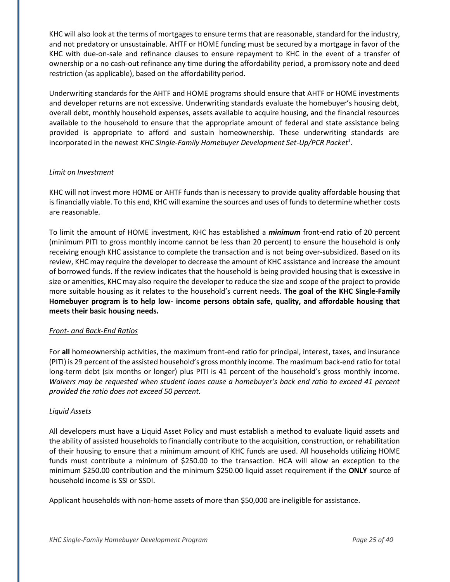KHC will also look at the terms of mortgages to ensure terms that are reasonable, standard for the industry, and not predatory or unsustainable. AHTF or HOME funding must be secured by a mortgage in favor of the KHC with due-on-sale and refinance clauses to ensure repayment to KHC in the event of a transfer of ownership or a no cash-out refinance any time during the affordability period, a promissory note and deed restriction (as applicable), based on the affordability period.

Underwriting standards for the AHTF and HOME programs should ensure that AHTF or HOME investments and developer returns are not excessive. Underwriting standards evaluate the homebuyer's housing debt, overall debt, monthly household expenses, assets available to acquire housing, and the financial resources available to the household to ensure that the appropriate amount of federal and state assistance being provided is appropriate to afford and sustain homeownership. These underwriting standards are incorporated in the newest *KHC Single-Family Homebuyer Development Set-Up/PCR Packet 1* .

#### *Limit on Investment*

KHC will not invest more HOME or AHTF funds than is necessary to provide quality affordable housing that is financially viable. To this end, KHC will examine the sources and uses of funds to determine whether costs are reasonable.

To limit the amount of HOME investment, KHC has established a *minimum* front-end ratio of 20 percent (minimum PITI to gross monthly income cannot be less than 20 percent) to ensure the household is only receiving enough KHC assistance to complete the transaction and is not being over-subsidized. Based on its review, KHC may require the developer to decrease the amount of KHC assistance and increase the amount of borrowed funds. If the review indicates that the household is being provided housing that is excessive in size or amenities, KHC may also require the developer to reduce the size and scope of the project to provide more suitable housing as it relates to the household's current needs. **The goal of the KHC Single-Family Homebuyer program is to help low- income persons obtain safe, quality, and affordable housing that meets their basic housing needs.**

#### *Front- and Back-End Ratios*

For **all** homeownership activities, the maximum front-end ratio for principal, interest, taxes, and insurance (PITI) is 29 percent of the assisted household's gross monthly income. The maximum back-end ratio for total long-term debt (six months or longer) plus PITI is 41 percent of the household's gross monthly income. *Waivers may be requested when student loans cause a homebuyer's back end ratio to exceed 41 percent provided the ratio does not exceed 50 percent.*

#### *Liquid Assets*

All developers must have a Liquid Asset Policy and must establish a method to evaluate liquid assets and the ability of assisted households to financially contribute to the acquisition, construction, or rehabilitation of their housing to ensure that a minimum amount of KHC funds are used. All households utilizing HOME funds must contribute a minimum of \$250.00 to the transaction. HCA will allow an exception to the minimum \$250.00 contribution and the minimum \$250.00 liquid asset requirement if the **ONLY** source of household income is SSI or SSDI.

Applicant households with non-home assets of more than \$50,000 are ineligible for assistance.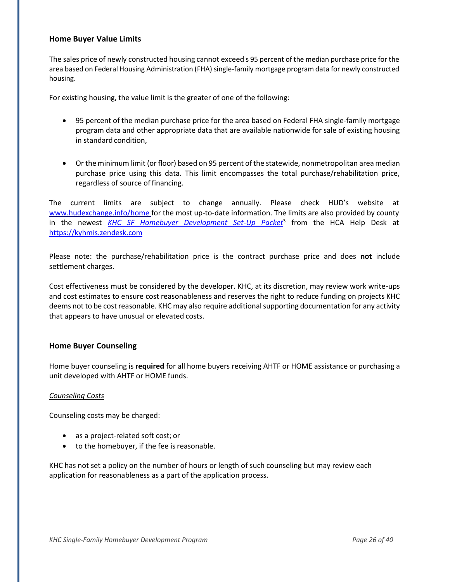#### **Home Buyer Value Limits**

The sales price of newly constructed housing cannot exceed s 95 percent of the median purchase price for the area based on Federal Housing Administration (FHA) single-family mortgage program data for newly constructed housing.

For existing housing, the value limit is the greater of one of the following:

- 95 percent of the median purchase price for the area based on Federal FHA single-family mortgage program data and other appropriate data that are available nationwide for sale of existing housing in standard condition,
- Or the minimum limit (or floor) based on 95 percent ofthe statewide, nonmetropolitan area median purchase price using this data. This limit encompasses the total purchase/rehabilitation price, regardless of source of financing.

The current limits are subject to change annually. Please check HUD's website at [www.hudexchange.info/home for t](http://www.hudexchange.info/homefor)he most up-to-date information. The limits are also provided by county in the newest *KHC SF Homebuyer Development Set-Up Packet*<sup>3</sup> from the HCA Help Desk at https://kyhmis.zendesk.com

Please note: the purchase/rehabilitation price is the contract purchase price and does **not** include settlement charges.

Cost effectiveness must be considered by the developer. KHC, at its discretion, may review work write-ups and cost estimates to ensure cost reasonableness and reserves the right to reduce funding on projects KHC deems not to be cost reasonable. KHC may also require additional supporting documentation for any activity that appears to have unusual or elevated costs.

# **Home Buyer Counseling**

Home buyer counseling is **required** for all home buyers receiving AHTF or HOME assistance or purchasing a unit developed with AHTF or HOME funds.

#### *Counseling Costs*

Counseling costs may be charged:

- as a project-related soft cost; or
- to the homebuyer, if the fee is reasonable.

KHC has not set a policy on the number of hours or length of such counseling but may review each application for reasonableness as a part of the application process.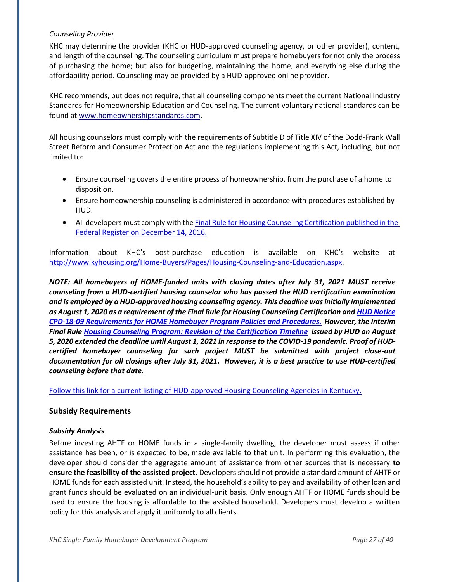#### *Counseling Provider*

KHC may determine the provider (KHC or HUD-approved counseling agency, or other provider), content, and length of the counseling. The counseling curriculum must prepare homebuyers for not only the process of purchasing the home; but also for budgeting, maintaining the home, and everything else during the affordability period. Counseling may be provided by a HUD-approved online provider.

KHC recommends, but does not require, that all counseling components meet the current National Industry Standards for Homeownership Education and Counseling. The current voluntary national standards can be found at [www.homeownershipstandards.com.](http://www.homeownershipstandards.com/)

All housing counselors must comply with the requirements of Subtitle D of Title XIV of the Dodd-Frank Wall Street Reform and Consumer Protection Act and the regulations implementing this Act, including, but not limited to:

- Ensure counseling covers the entire process of homeownership, from the purchase of a home to disposition.
- Ensure homeownership counseling is administered in accordance with procedures established by HUD.
- All developers must comply with the Final Rule for Housing Counseling [Certification](https://www.federalregister.gov/documents/2016/12/14/2016-29822/housing-counseling-new-certification-requirements) published in the [Federal Register on December 14,](https://www.federalregister.gov/documents/2016/12/14/2016-29822/housing-counseling-new-certification-requirements) 2016.

Information about KHC's post-purchase education is available on KHC's website at [http://www.kyhousing.org/Home-Buyers/Pages/Housing-Counseling-and-Education.aspx.](http://www.kyhousing.org/Home-Buyers/Pages/Housing-Counseling-and-Education.aspx)

*NOTE: All homebuyers of HOME-funded units with closing dates after July 31, 2021 MUST receive counseling from a HUD-certified housing counselor who has passed the HUD certification examination and is employed by a HUD-approved housing counseling agency. This deadline was initially implemented as August 1, 2020 as a requirement of the Final Rule for Housing Counseling Certification an[d HUD Notice](https://files.hudexchange.info/resources/documents/Notice-CPD-18-09-Requirements-for-HOME-Homebuyer-Programs-Policies-Procedures.pdf)  [CPD-18-09 Requirements for HOME Homebuyer Program Policies and Procedures.](https://files.hudexchange.info/resources/documents/Notice-CPD-18-09-Requirements-for-HOME-Homebuyer-Programs-Policies-Procedures.pdf) However, the Interim Final Rule [Housing Counseling Program: Revision of the Certification Timeline](https://www.govinfo.gov/content/pkg/FR-2020-08-05/pdf/2020-17138.pdf) issued by HUD on August 5, 2020 extended the deadline until August 1, 2021 in response to the COVID-19 pandemic. Proof of HUDcertified homebuyer counseling for such project MUST be submitted with project close-out documentation for all closings after July 31, 2021. However, it is a best practice to use HUD-certified counseling before that date.* 

[Follow this link for a current listing of HUD-approved Housing Counseling Agencies in Kentucky.](http://www.kyhousing.org/Home-Buyers/Documents/Counseling-List.pdf)

#### **Subsidy Requirements**

#### *Subsidy Analysis*

Before investing AHTF or HOME funds in a single-family dwelling, the developer must assess if other assistance has been, or is expected to be, made available to that unit. In performing this evaluation, the developer should consider the aggregate amount of assistance from other sources that is necessary **to ensure the feasibility of the assisted project**. Developers should not provide a standard amount of AHTF or HOME funds for each assisted unit. Instead, the household's ability to pay and availability of other loan and grant funds should be evaluated on an individual-unit basis. Only enough AHTF or HOME funds should be used to ensure the housing is affordable to the assisted household. Developers must develop a written policy for this analysis and apply it uniformly to all clients.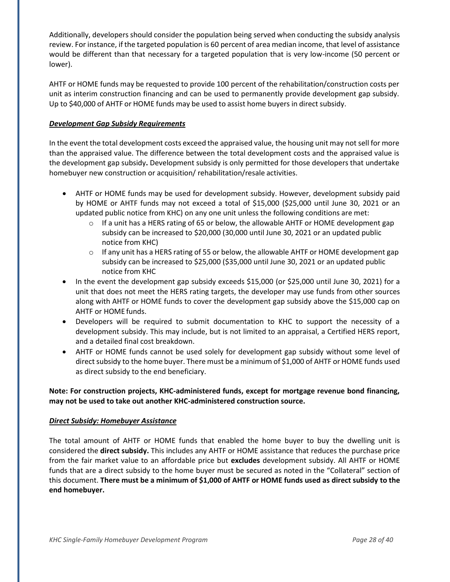Additionally, developers should consider the population being served when conducting the subsidy analysis review. For instance, if the targeted population is 60 percent of area median income, that level of assistance would be different than that necessary for a targeted population that is very low-income (50 percent or lower).

AHTF or HOME funds may be requested to provide 100 percent of the rehabilitation/construction costs per unit as interim construction financing and can be used to permanently provide development gap subsidy. Up to \$40,000 of AHTF or HOME funds may be used to assist home buyers in direct subsidy.

#### *Development Gap Subsidy Requirements*

In the event the total development costs exceed the appraised value, the housing unit may not sell for more than the appraised value. The difference between the total development costs and the appraised value is the development gap subsidy**.** Development subsidy is only permitted for those developers that undertake homebuyer new construction or acquisition/ rehabilitation/resale activities.

- AHTF or HOME funds may be used for development subsidy. However, development subsidy paid by HOME or AHTF funds may not exceed a total of \$15,000 (\$25,000 until June 30, 2021 or an updated public notice from KHC) on any one unit unless the following conditions are met:
	- $\circ$  If a unit has a HERS rating of 65 or below, the allowable AHTF or HOME development gap subsidy can be increased to \$20,000 (30,000 until June 30, 2021 or an updated public notice from KHC)
	- $\circ$  If any unit has a HERS rating of 55 or below, the allowable AHTF or HOME development gap subsidy can be increased to \$25,000 (\$35,000 until June 30, 2021 or an updated public notice from KHC
- In the event the development gap subsidy exceeds \$15,000 (or \$25,000 until June 30, 2021) for a unit that does not meet the HERS rating targets, the developer may use funds from other sources along with AHTF or HOME funds to cover the development gap subsidy above the \$15,000 cap on AHTF or HOME funds.
- Developers will be required to submit documentation to KHC to support the necessity of a development subsidy. This may include, but is not limited to an appraisal, a Certified HERS report, and a detailed final cost breakdown.
- AHTF or HOME funds cannot be used solely for development gap subsidy without some level of direct subsidy to the home buyer. There must be a minimum of \$1,000 of AHTF or HOME funds used as direct subsidy to the end beneficiary.

**Note: For construction projects, KHC-administered funds, except for mortgage revenue bond financing, may not be used to take out another KHC-administered construction source.**

#### *Direct Subsidy: Homebuyer Assistance*

The total amount of AHTF or HOME funds that enabled the home buyer to buy the dwelling unit is considered the **direct subsidy.** This includes any AHTF or HOME assistance that reduces the purchase price from the fair market value to an affordable price but **excludes** development subsidy. All AHTF or HOME funds that are a direct subsidy to the home buyer must be secured as noted in the "Collateral" section of this document. **There must be a minimum of \$1,000 of AHTF or HOME funds used as direct subsidy to the end homebuyer.**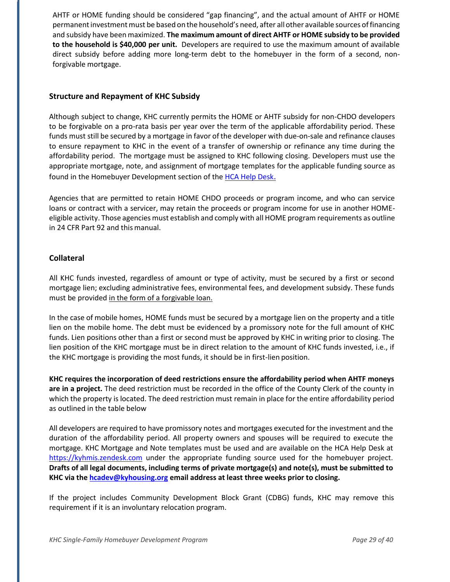AHTF or HOME funding should be considered "gap financing", and the actual amount of AHTF or HOME permanent investment must be based on the household's need, after all other available sources of financing and subsidy have been maximized. **The maximum amount of direct AHTF or HOME subsidy to be provided to the household is \$40,000 per unit.** Developers are required to use the maximum amount of available direct subsidy before adding more long-term debt to the homebuyer in the form of a second, nonforgivable mortgage.

#### **Structure and Repayment of KHC Subsidy**

Although subject to change, KHC currently permits the HOME or AHTF subsidy for non-CHDO developers to be forgivable on a pro-rata basis per year over the term of the applicable affordability period. These funds must still be secured by a mortgage in favor of the developer with due-on-sale and refinance clauses to ensure repayment to KHC in the event of a transfer of ownership or refinance any time during the affordability period. The mortgage must be assigned to KHC following closing. Developers must use the appropriate mortgage, note, and assignment of mortgage templates for the applicable funding source as found in the Homebuyer Development section of the [HCA Help Desk](https://kyhmis.zendesk.com/)[.](https://kyhmis.zendesk.com/)

Agencies that are permitted to retain HOME CHDO proceeds or program income, and who can service loans or contract with a servicer, may retain the proceeds or program income for use in another HOMEeligible activity. Those agencies must establish and comply with all HOME program requirements as outline in 24 CFR Part 92 and this manual.

#### **Collateral**

All KHC funds invested, regardless of amount or type of activity, must be secured by a first or second mortgage lien; excluding administrative fees, environmental fees, and development subsidy. These funds must be provided in the form of a forgivable loan.

In the case of mobile homes, HOME funds must be secured by a mortgage lien on the property and a title lien on the mobile home. The debt must be evidenced by a promissory note for the full amount of KHC funds. Lien positions other than a first or second must be approved by KHC in writing prior to closing. The lien position of the KHC mortgage must be in direct relation to the amount of KHC funds invested, i.e., if the KHC mortgage is providing the most funds, it should be in first-lien position.

**KHC requires the incorporation of deed restrictions ensure the affordability period when AHTF moneys are in a project.** The deed restriction must be recorded in the office of the County Clerk of the county in which the property is located. The deed restriction must remain in place for the entire affordability period as outlined in the table below

All developers are required to have promissory notes and mortgages executed for the investment and the duration of the affordability period. All property owners and spouses will be required to execute the mortgage. KHC Mortgage and Note templates must be used and are available on the HCA Help Desk at https://kyhmis.zendesk.com under the appropriate funding source used for the homebuyer project. **Drafts of all legal documents, including terms of private mortgage(s) and note(s), must be submitted to KHC via th[e hcadev@kyhousing.org](mailto:hcadev@kyhousing.org) email address at least three weeks prior to closing.**

If the project includes Community Development Block Grant (CDBG) funds, KHC may remove this requirement if it is an involuntary relocation program.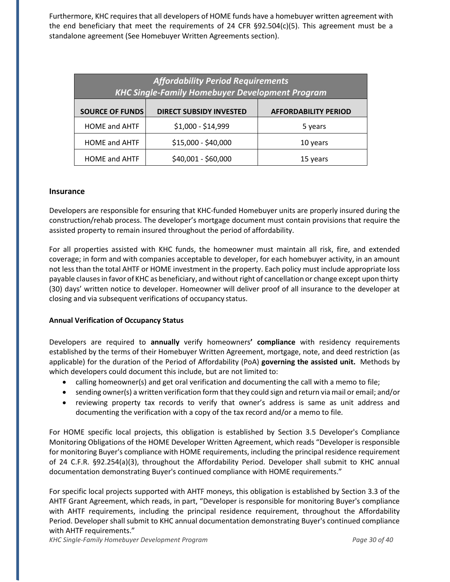Furthermore, KHC requires that all developers of HOME funds have a homebuyer written agreement with the end beneficiary that meet the requirements of 24 CFR  $\S92.504(c)(5)$ . This agreement must be a standalone agreement (See Homebuyer Written Agreements section).

| <b>Affordability Period Requirements</b><br><b>KHC Single-Family Homebuyer Development Program</b> |                                |                             |  |  |  |
|----------------------------------------------------------------------------------------------------|--------------------------------|-----------------------------|--|--|--|
| <b>SOURCE OF FUNDS</b>                                                                             | <b>DIRECT SUBSIDY INVESTED</b> | <b>AFFORDABILITY PERIOD</b> |  |  |  |
| <b>HOME and AHTF</b>                                                                               | \$1,000 - \$14,999             | 5 years                     |  |  |  |
| <b>HOME and AHTF</b>                                                                               | \$15,000 - \$40,000            | 10 years                    |  |  |  |
| <b>HOME and AHTF</b>                                                                               | \$40,001 - \$60,000            | 15 years                    |  |  |  |

#### **Insurance**

Developers are responsible for ensuring that KHC-funded Homebuyer units are properly insured during the construction/rehab process. The developer's mortgage document must contain provisions that require the assisted property to remain insured throughout the period of affordability.

For all properties assisted with KHC funds, the homeowner must maintain all risk, fire, and extended coverage; in form and with companies acceptable to developer, for each homebuyer activity, in an amount not less than the total AHTF or HOME investment in the property. Each policy must include appropriate loss payable clausesin favor of KHC as beneficiary, and without right of cancellation or change except upon thirty (30) days' written notice to developer. Homeowner will deliver proof of all insurance to the developer at closing and via subsequent verifications of occupancy status.

#### **Annual Verification of Occupancy Status**

Developers are required to **annually** verify homeowners**' compliance** with residency requirements established by the terms of their Homebuyer Written Agreement, mortgage, note, and deed restriction (as applicable) for the duration of the Period of Affordability (PoA) **governing the assisted unit.** Methods by which developers could document this include, but are not limited to:

- calling homeowner(s) and get oral verification and documenting the call with a memo to file;
- sending owner(s) a written verification form that they could sign and return via mail or email; and/or
- reviewing property tax records to verify that owner's address is same as unit address and documenting the verification with a copy of the tax record and/or a memo to file.

For HOME specific local projects, this obligation is established by Section 3.5 Developer's Compliance Monitoring Obligations of the HOME Developer Written Agreement, which reads "Developer is responsible for monitoring Buyer's compliance with HOME requirements, including the principal residence requirement of 24 C.F.R. §92.254(a)(3), throughout the Affordability Period. Developer shall submit to KHC annual documentation demonstrating Buyer's continued compliance with HOME requirements."

For specific local projects supported with AHTF moneys, this obligation is established by Section 3.3 of the AHTF Grant Agreement, which reads, in part, "Developer is responsible for monitoring Buyer's compliance with AHTF requirements, including the principal residence requirement, throughout the Affordability Period. Developer shall submit to KHC annual documentation demonstrating Buyer's continued compliance with AHTF requirements."

*KHC Single-Family Homebuyer Development Program Page 30 of 40*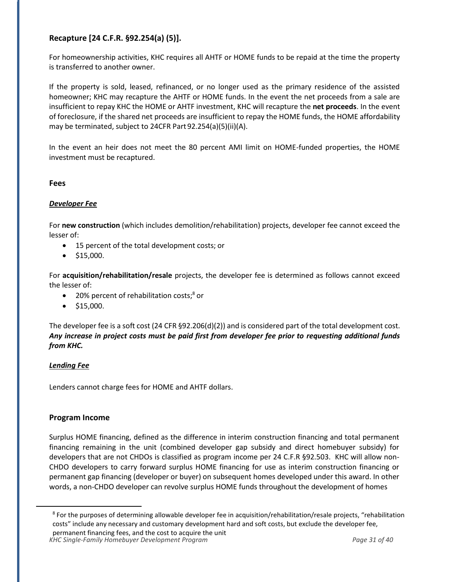# **Recapture [24 C.F.R. §92.254(a) (5)].**

For homeownership activities, KHC requires all AHTF or HOME funds to be repaid at the time the property is transferred to another owner.

If the property is sold, leased, refinanced, or no longer used as the primary residence of the assisted homeowner; KHC may recapture the AHTF or HOME funds. In the event the net proceeds from a sale are insufficient to repay KHC the HOME or AHTF investment, KHC will recapture the **net proceeds**. In the event of foreclosure, if the shared net proceeds are insufficient to repay the HOME funds, the HOME affordability may be terminated, subject to 24CFR Part 92.254(a)(5)(ii)(A).

In the event an heir does not meet the 80 percent AMI limit on HOME-funded properties, the HOME investment must be recaptured.

## **Fees**

## *Developer Fee*

For **new construction** (which includes demolition/rehabilitation) projects, developer fee cannot exceed the lesser of:

- 15 percent of the total development costs; or
- $\bullet$  \$15,000.

For **acquisition/rehabilitation/resale** projects, the developer fee is determined as follows cannot exceed the lesser of:

- 20% percent of rehabilitation costs;<sup>8</sup> or
- $\bullet$  \$15,000.

The developer fee is a soft cost (24 CFR §92.206(d)(2)) and is considered part of the total development cost. *Any increase in project costs must be paid first from developer fee prior to requesting additional funds from KHC.*

#### *Lending Fee*

Lenders cannot charge fees for HOME and AHTF dollars.

#### **Program Income**

Surplus HOME financing, defined as the difference in interim construction financing and total permanent financing remaining in the unit (combined developer gap subsidy and direct homebuyer subsidy) for developers that are not CHDOs is classified as program income per 24 C.F.R §92.503. KHC will allow non-CHDO developers to carry forward surplus HOME financing for use as interim construction financing or permanent gap financing (developer or buyer) on subsequent homes developed under this award. In other words, a non-CHDO developer can revolve surplus HOME funds throughout the development of homes

*KHC Single-Family Homebuyer Development Program Page 31 of 40*

<sup>8</sup> For the purposes of determining allowable developer fee in acquisition/rehabilitation/resale projects, "rehabilitation costs" include any necessary and customary development hard and soft costs, but exclude the developer fee, permanent financing fees, and the cost to acquire the unit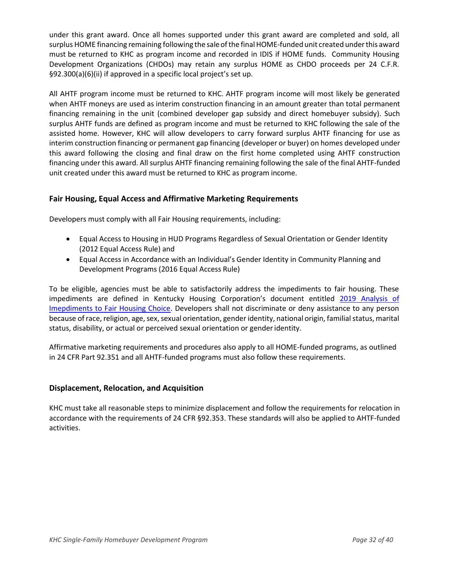under this grant award. Once all homes supported under this grant award are completed and sold, all surplus HOME financing remaining following the sale of the final HOME-funded unit created under this award must be returned to KHC as program income and recorded in IDIS if HOME funds. Community Housing Development Organizations (CHDOs) may retain any surplus HOME as CHDO proceeds per 24 C.F.R. §92.300(a)(6)(ii) if approved in a specific local project's set up.

All AHTF program income must be returned to KHC. AHTF program income will most likely be generated when AHTF moneys are used as interim construction financing in an amount greater than total permanent financing remaining in the unit (combined developer gap subsidy and direct homebuyer subsidy). Such surplus AHTF funds are defined as program income and must be returned to KHC following the sale of the assisted home. However, KHC will allow developers to carry forward surplus AHTF financing for use as interim construction financing or permanent gap financing (developer or buyer) on homes developed under this award following the closing and final draw on the first home completed using AHTF construction financing under this award. All surplus AHTF financing remaining following the sale of the final AHTF-funded unit created under this award must be returned to KHC as program income.

## **Fair Housing, Equal Access and Affirmative Marketing Requirements**

Developers must comply with all Fair Housing requirements, including:

- Equal Access to Housing in HUD Programs Regardless of Sexual Orientation or Gender Identity (2012 Equal Access Rule) and
- Equal Access in Accordance with an Individual's Gender Identity in Community Planning and Development Programs (2016 Equal Access Rule)

To be eligible, agencies must be able to satisfactorily address the impediments to fair housing. These impediments are defined in Kentucky Housing Corporation's document entitled 2019 Analysis of [Imepdiments to Fair Housing Choice.](http://www.kyhousing.org/Resources/Planning-Documents/Documents/Kentucky%20Statewide%20AI_04.29.20_FINAL.pdf) Developers shall not discriminate or deny assistance to any person because of race, religion, age, sex, sexual orientation, gender identity, national origin, familial status, marital status, disability, or actual or perceived sexual orientation or genderidentity.

Affirmative marketing requirements and procedures also apply to all HOME-funded programs, as outlined in 24 CFR Part 92.351 and all AHTF-funded programs must also follow these requirements.

#### **Displacement, Relocation, and Acquisition**

KHC must take all reasonable steps to minimize displacement and follow the requirements for relocation in accordance with the requirements of 24 CFR §92.353. These standards will also be applied to AHTF-funded activities.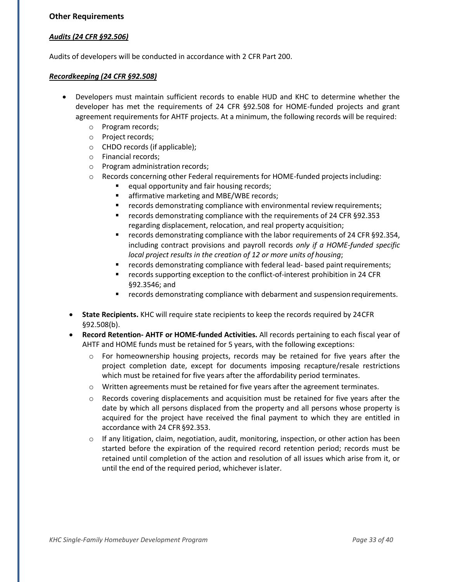#### **Other Requirements**

#### *Audits (24 CFR §92.506)*

Audits of developers will be conducted in accordance with 2 CFR Part 200.

#### *Recordkeeping (24 CFR §92.508)*

- Developers must maintain sufficient records to enable HUD and KHC to determine whether the developer has met the requirements of 24 CFR §92.508 for HOME-funded projects and grant agreement requirements for AHTF projects. At a minimum, the following records will be required:
	- o Program records;
	- o Project records;
	- o CHDO records (if applicable);
	- o Financial records;
	- o Program administration records;
	- o Records concerning other Federal requirements for HOME-funded projectsincluding:
		- equal opportunity and fair housing records;
		- affirmative marketing and MBE/WBE records;
		- records demonstrating compliance with environmental review requirements;
		- records demonstrating compliance with the requirements of 24 CFR §92.353 regarding displacement, relocation, and real property acquisition;
		- records demonstrating compliance with the labor requirements of 24 CFR §92.354, including contract provisions and payroll records *only if a HOME-funded specific local project results in the creation of 12 or more units of housing*;
		- records demonstrating compliance with federal lead- based paint requirements;
		- records supporting exception to the conflict-of-interest prohibition in 24 CFR §92.3546; and
		- **■** records demonstrating compliance with debarment and suspension requirements.
	- **State Recipients.** KHC will require state recipients to keep the records required by 24CFR §92.508(b).
	- **Record Retention- AHTF or HOME-funded Activities.** All records pertaining to each fiscal year of AHTF and HOME funds must be retained for 5 years, with the following exceptions:
		- $\circ$  For homeownership housing projects, records may be retained for five years after the project completion date, except for documents imposing recapture/resale restrictions which must be retained for five years after the affordability period terminates.
		- o Written agreements must be retained for five years after the agreement terminates.
		- $\circ$  Records covering displacements and acquisition must be retained for five years after the date by which all persons displaced from the property and all persons whose property is acquired for the project have received the final payment to which they are entitled in accordance with 24 CFR §92.353.
		- o If any litigation, claim, negotiation, audit, monitoring, inspection, or other action has been started before the expiration of the required record retention period; records must be retained until completion of the action and resolution of all issues which arise from it, or until the end of the required period, whichever islater.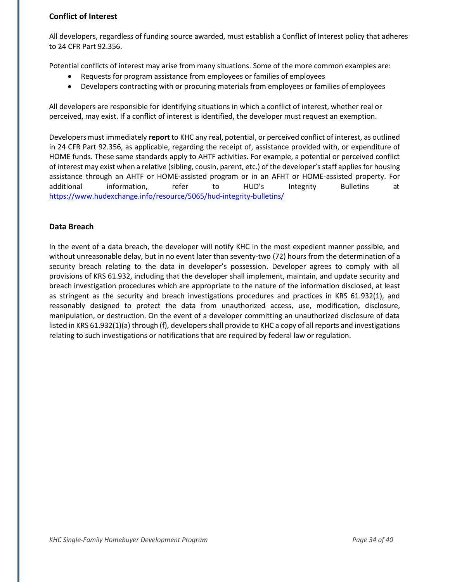# **Conflict of Interest**

All developers, regardless of funding source awarded, must establish a Conflict of Interest policy that adheres to 24 CFR Part 92.356.

Potential conflicts of interest may arise from many situations. Some of the more common examples are:

- Requests for program assistance from employees or families of employees
- Developers contracting with or procuring materials from employees or families of employees

All developers are responsible for identifying situations in which a conflict of interest, whether real or perceived, may exist. If a conflict of interest is identified, the developer must request an exemption.

Developers must immediately **report** to KHC any real, potential, or perceived conflict of interest, as outlined in 24 CFR Part 92.356, as applicable, regarding the receipt of, assistance provided with, or expenditure of HOME funds. These same standards apply to AHTF activities. For example, a potential or perceived conflict of interest may exist when a relative (sibling, cousin, parent, etc.) of the developer'sstaff applies for housing assistance through an AHTF or HOME-assisted program or in an AFHT or HOME-assisted property. For additional information, refer to HUD's Integrity Bulletins at https:/[/www.hudexchange.info/resource/5065/hud-integrity-bulletins/](http://www.hudexchange.info/resource/5065/hud-integrity-bulletins/)

#### **Data Breach**

In the event of a data breach, the developer will notify KHC in the most expedient manner possible, and without unreasonable delay, but in no event later than seventy-two (72) hours from the determination of a security breach relating to the data in developer's possession. Developer agrees to comply with all provisions of KRS 61.932, including that the developer shall implement, maintain, and update security and breach investigation procedures which are appropriate to the nature of the information disclosed, at least as stringent as the security and breach investigations procedures and practices in KRS 61.932(1), and reasonably designed to protect the data from unauthorized access, use, modification, disclosure, manipulation, or destruction. On the event of a developer committing an unauthorized disclosure of data listed in KRS 61.932(1)(a) through (f), developers shall provide to KHC a copy of all reports and investigations relating to such investigations or notifications that are required by federal law or regulation.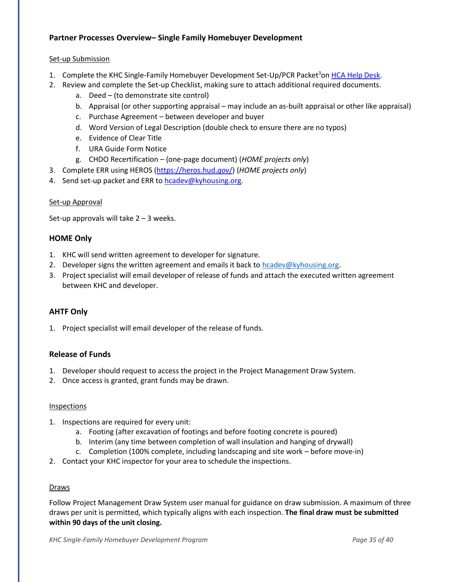# **Partner Processes Overview– Single Family Homebuyer Development**

#### Set-up Submission

- 1. Complete the KHC Single-Family Homebuyer Development Set-Up/PCR Packet<sup>3</sup>on [HCA Help Desk.](https://kyhmis.zendesk.com/)
- 2. Review and complete the Set-up Checklist, making sure to attach additional required documents.
	- a. Deed (to demonstrate site control)
	- b. Appraisal (or other supporting appraisal may include an as-built appraisal or other like appraisal)
	- c. Purchase Agreement between developer and buyer
	- d. Word Version of Legal Description (double check to ensure there are no typos)
	- e. Evidence of Clear Title
	- f. URA Guide Form Notice
	- g. CHDO Recertification (one-page document) (*HOME projects only*)
- 3. Complete ERR using HEROS [\(https://heros.hud.](https://heros.hud.gov/)*gov*/) (*HOME projects only*)
- 4. Send set-up packet and ERR to [hcadev@kyhousing.org.](mailto:hcadev@kyhousing.org)

#### Set-up Approval

Set-up approvals will take  $2 - 3$  weeks.

#### **HOME Only**

- 1. KHC will send written agreement to developer for signature.
- 2. Developer signs the written agreement and emails it back to [hcadev@kyhousing.org.](mailto:hcadev@kyhousing.org)
- 3. Project specialist will email developer of release of funds and attach the executed written agreement between KHC and developer.

# **AHTF Only**

1. Project specialist will email developer of the release of funds.

#### **Release of Funds**

- 1. Developer should request to access the project in the Project Management Draw System.
- 2. Once access is granted, grant funds may be drawn.

#### Inspections

- 1. Inspections are required for every unit:
	- a. Footing (after excavation of footings and before footing concrete is poured)
	- b. Interim (any time between completion of wall insulation and hanging of drywall)
	- c. Completion (100% complete, including landscaping and site work before move-in)
- 2. Contact your KHC inspector for your area to schedule the inspections.

#### Draws

Follow Project Management Draw System user manual for guidance on draw submission. A maximum of three draws per unit is permitted, which typically aligns with each inspection. **The final draw must be submitted within 90 days of the unit closing.**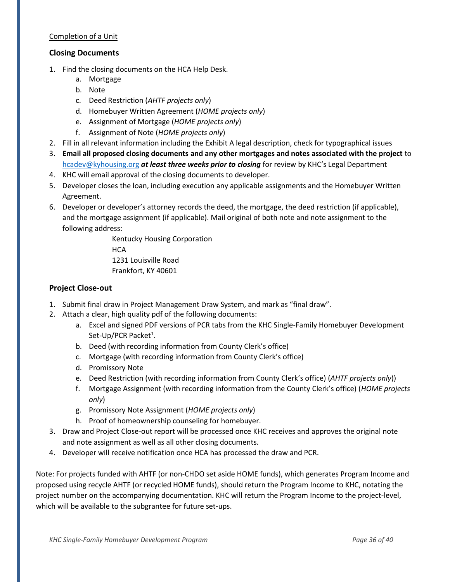#### Completion of a Unit

#### **Closing Documents**

- 1. Find the closing documents on the HCA Help Desk.
	- a. Mortgage
	- b. Note
	- c. Deed Restriction (*AHTF projects only*)
	- d. Homebuyer Written Agreement (*HOME projects only*)
	- e. Assignment of Mortgage (*HOME projects only*)
	- f. Assignment of Note (*HOME projects only*)
- 2. Fill in all relevant information including the Exhibit A legal description, check for typographical issues
- 3. **Email all proposed closing documents and any other mortgages and notes associated with the project** to [hcadev@kyhousing.org](mailto:hcadev@kyhousing.org) *at least three weeks prior to closing* for review by KHC's Legal Department
- 4. KHC will email approval of the closing documents to developer.
- 5. Developer closes the loan, including execution any applicable assignments and the Homebuyer Written Agreement.
- 6. Developer or developer's attorney records the deed, the mortgage, the deed restriction (if applicable), and the mortgage assignment (if applicable). Mail original of both note and note assignment to the following address:

Kentucky Housing Corporation **HCA** 1231 Louisville Road Frankfort, KY 40601

#### **Project Close-out**

- 1. Submit final draw in Project Management Draw System, and mark as "final draw".
- 2. Attach a clear, high quality pdf of the following documents:
	- a. Excel and signed PDF versions of PCR tabs from the KHC Single-Family Homebuyer Development Set-Up/PCR Packet<sup>1</sup>.
	- b. Deed (with recording information from County Clerk's office)
	- c. Mortgage (with recording information from County Clerk's office)
	- d. Promissory Note
	- e. Deed Restriction (with recording information from County Clerk's office) (*AHTF projects only*))
	- f. Mortgage Assignment (with recording information from the County Clerk's office) (*HOME projects only*)
	- g. Promissory Note Assignment (*HOME projects only*)
	- h. Proof of homeownership counseling for homebuyer.
- 3. Draw and Project Close-out report will be processed once KHC receives and approves the original note and note assignment as well as all other closing documents.
- 4. Developer will receive notification once HCA has processed the draw and PCR.

Note: For projects funded with AHTF (or non-CHDO set aside HOME funds), which generates Program Income and proposed using recycle AHTF (or recycled HOME funds), should return the Program Income to KHC, notating the project number on the accompanying documentation. KHC will return the Program Income to the project-level, which will be available to the subgrantee for future set-ups.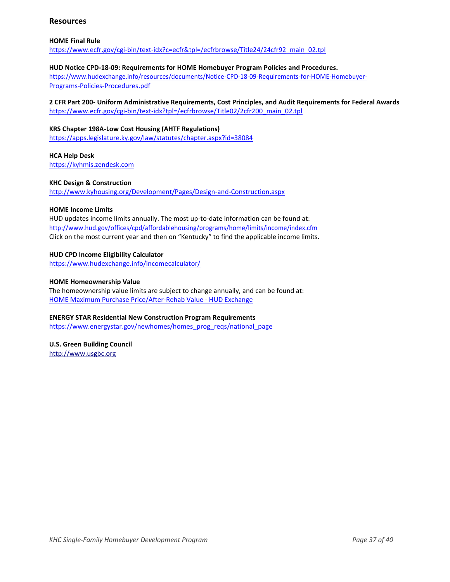#### **Resources**

#### **HOME Final Rule**

[https://www.ecfr.gov/cgi-bin/text-idx?c=ecfr&tpl=/ecfrbrowse/Title24/24cfr92\\_main\\_02.tpl](https://www.ecfr.gov/cgi-bin/text-idx?c=ecfr&tpl=/ecfrbrowse/Title24/24cfr92_main_02.tpl)

#### **HUD Notice CPD-18-09: Requirements for HOME Homebuyer Program Policies and Procedures.**

https:/[/www.hudexchange.info/resources/documents/Notice-CPD-18-09-Requirements-for-HOME-Homebuyer-](http://www.hudexchange.info/resources/documents/Notice-CPD-18-09-Requirements-for-HOME-Homebuyer-)Programs-Policies-Procedures.pdf

#### **2 CFR Part 200- Uniform Administrative Requirements, Cost Principles, and Audit Requirements for Federal Awards**

[https://www.ecfr.gov/cgi-bin/text-idx?tpl=/ecfrbrowse/Title02/2cfr200\\_main\\_02.tpl](https://www.ecfr.gov/cgi-bin/text-idx?tpl=/ecfrbrowse/Title02/2cfr200_main_02.tpl)

#### **KRS Chapter 198A-Low Cost Housing (AHTF Regulations)**

<https://apps.legislature.ky.gov/law/statutes/chapter.aspx?id=38084>

#### **HCA Help Desk**

[https://kyhmis.zendesk.com](https://kyhmis.zendesk.com/)

#### **KHC Design & Construction**

<http://www.kyhousing.org/Development/Pages/Design-and-Construction.aspx>

#### **HOME Income Limits**

HUD updates income limits annually. The most up-to-date information can be found at: <http://www.hud.gov/offices/cpd/affordablehousing/programs/home/limits/income/index.cfm> Click on the most current year and then on "Kentucky" to find the applicable income limits.

#### **HUD CPD Income Eligibility Calculator**

https:/[/www.hudexchange.info/incomecalculator/](http://www.hudexchange.info/incomecalculator/)

#### **HOME Homeownership Value**

The homeownership value limits are subject to change annually, and can be found at: [HOME Maximum Purchase Price/After-Rehab Value -](https://www.hudexchange.info/resource/2312/home-maximum-purchase-price-after-rehab-value/) HUD Exchange

#### **ENERGY STAR Residential New Construction Program Requirements**

https:/[/www.energystar.gov/newhomes/homes\\_prog\\_reqs/national\\_page](http://www.energystar.gov/newhomes/homes_prog_reqs/national_page)

# **U.S. Green Building Council**

[http://www.usgbc.org](http://www.usgbc.org/)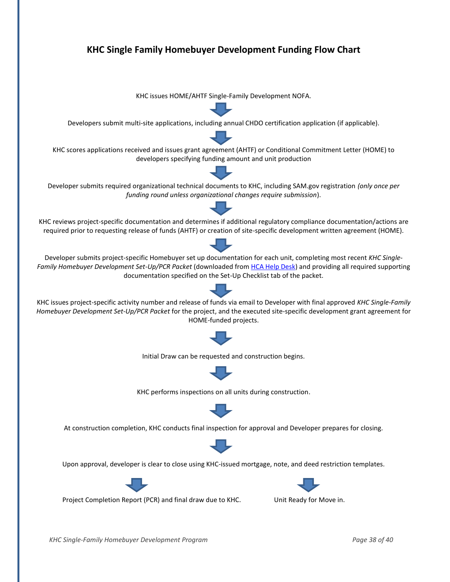

*KHC Single-Family Homebuyer Development Program Page 38 of 40*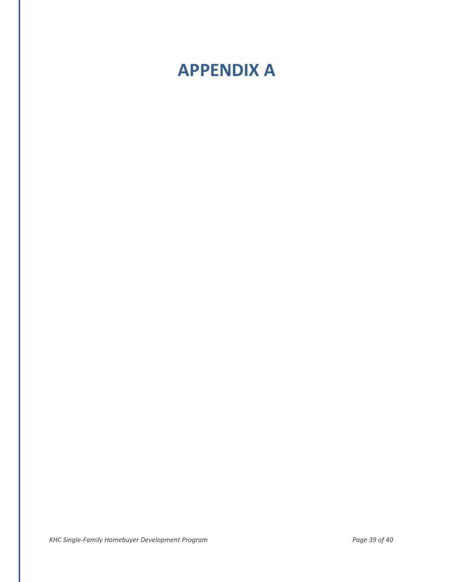# **APPENDIX A**